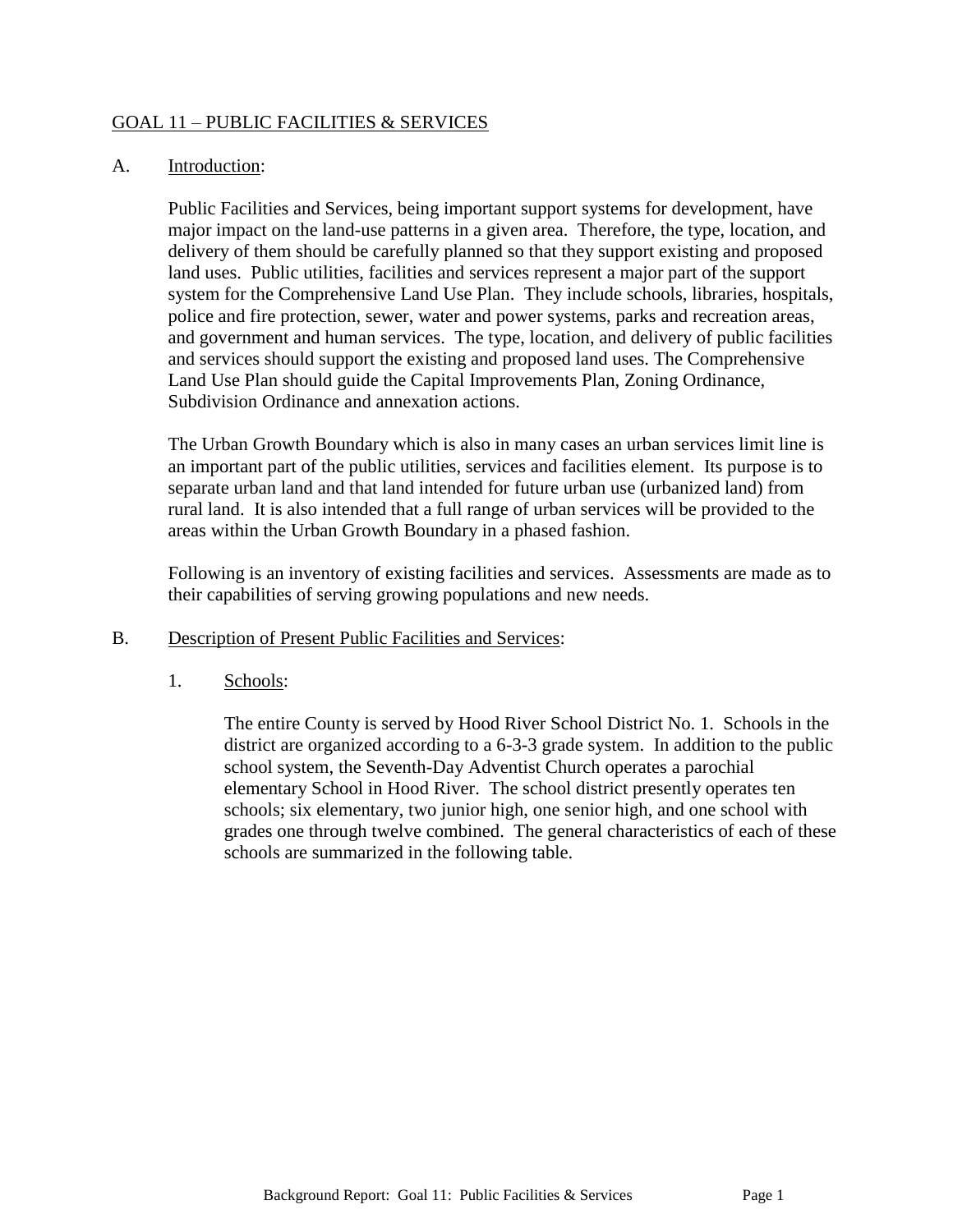# GOAL 11 – PUBLIC FACILITIES & SERVICES

#### A. Introduction:

Public Facilities and Services, being important support systems for development, have major impact on the land-use patterns in a given area. Therefore, the type, location, and delivery of them should be carefully planned so that they support existing and proposed land uses. Public utilities, facilities and services represent a major part of the support system for the Comprehensive Land Use Plan. They include schools, libraries, hospitals, police and fire protection, sewer, water and power systems, parks and recreation areas, and government and human services. The type, location, and delivery of public facilities and services should support the existing and proposed land uses. The Comprehensive Land Use Plan should guide the Capital Improvements Plan, Zoning Ordinance, Subdivision Ordinance and annexation actions.

The Urban Growth Boundary which is also in many cases an urban services limit line is an important part of the public utilities, services and facilities element. Its purpose is to separate urban land and that land intended for future urban use (urbanized land) from rural land. It is also intended that a full range of urban services will be provided to the areas within the Urban Growth Boundary in a phased fashion.

Following is an inventory of existing facilities and services. Assessments are made as to their capabilities of serving growing populations and new needs.

- B. Description of Present Public Facilities and Services:
	- 1. Schools:

The entire County is served by Hood River School District No. 1. Schools in the district are organized according to a 6-3-3 grade system. In addition to the public school system, the Seventh-Day Adventist Church operates a parochial elementary School in Hood River. The school district presently operates ten schools; six elementary, two junior high, one senior high, and one school with grades one through twelve combined. The general characteristics of each of these schools are summarized in the following table.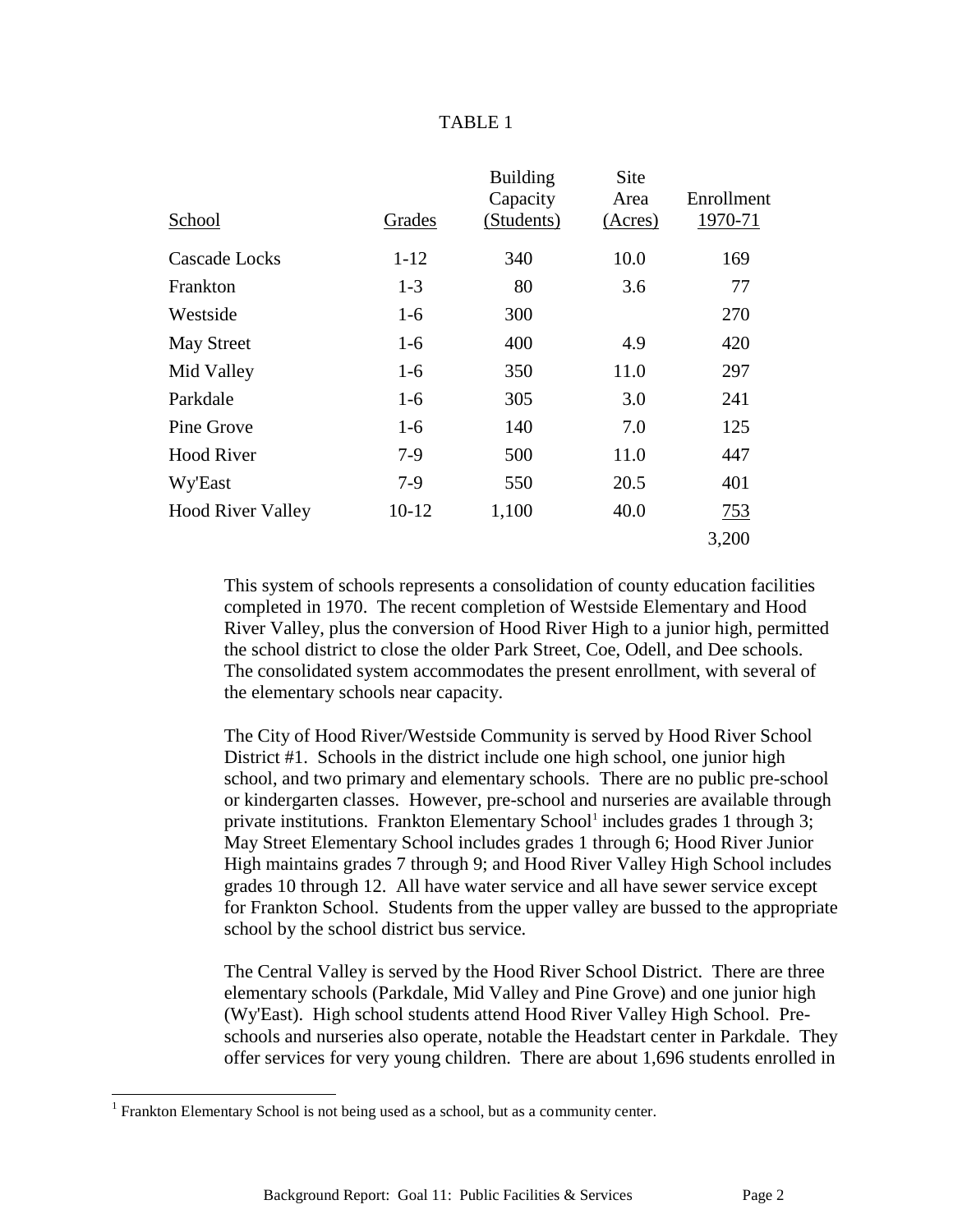#### TABLE 1

|                          |           | <b>Building</b> | Site    |            |
|--------------------------|-----------|-----------------|---------|------------|
|                          |           | Capacity        | Area    | Enrollment |
| School                   | Grades    | (Students)      | (Acres) | 1970-71    |
| Cascade Locks            | $1 - 12$  | 340             | 10.0    | 169        |
| Frankton                 | $1-3$     | 80              | 3.6     | 77         |
| Westside                 | $1-6$     | 300             |         | 270        |
| <b>May Street</b>        | $1-6$     | 400             | 4.9     | 420        |
| Mid Valley               | $1-6$     | 350             | 11.0    | 297        |
| Parkdale                 | $1-6$     | 305             | 3.0     | 241        |
| Pine Grove               | $1-6$     | 140             | 7.0     | 125        |
| <b>Hood River</b>        | $7-9$     | 500             | 11.0    | 447        |
| Wy'East                  | $7-9$     | 550             | 20.5    | 401        |
| <b>Hood River Valley</b> | $10 - 12$ | 1,100           | 40.0    | <u>753</u> |
|                          |           |                 |         | 3,200      |

This system of schools represents a consolidation of county education facilities completed in 1970. The recent completion of Westside Elementary and Hood River Valley, plus the conversion of Hood River High to a junior high, permitted the school district to close the older Park Street, Coe, Odell, and Dee schools. The consolidated system accommodates the present enrollment, with several of the elementary schools near capacity.

The City of Hood River/Westside Community is served by Hood River School District #1. Schools in the district include one high school, one junior high school, and two primary and elementary schools. There are no public pre-school or kindergarten classes. However, pre-school and nurseries are available through private institutions. Frankton Elementary School<sup>1</sup> includes grades 1 through 3; May Street Elementary School includes grades 1 through 6; Hood River Junior High maintains grades 7 through 9; and Hood River Valley High School includes grades 10 through 12. All have water service and all have sewer service except for Frankton School. Students from the upper valley are bussed to the appropriate school by the school district bus service.

The Central Valley is served by the Hood River School District. There are three elementary schools (Parkdale, Mid Valley and Pine Grove) and one junior high (Wy'East). High school students attend Hood River Valley High School. Preschools and nurseries also operate, notable the Headstart center in Parkdale. They offer services for very young children. There are about 1,696 students enrolled in

l

<sup>&</sup>lt;sup>1</sup> Frankton Elementary School is not being used as a school, but as a community center.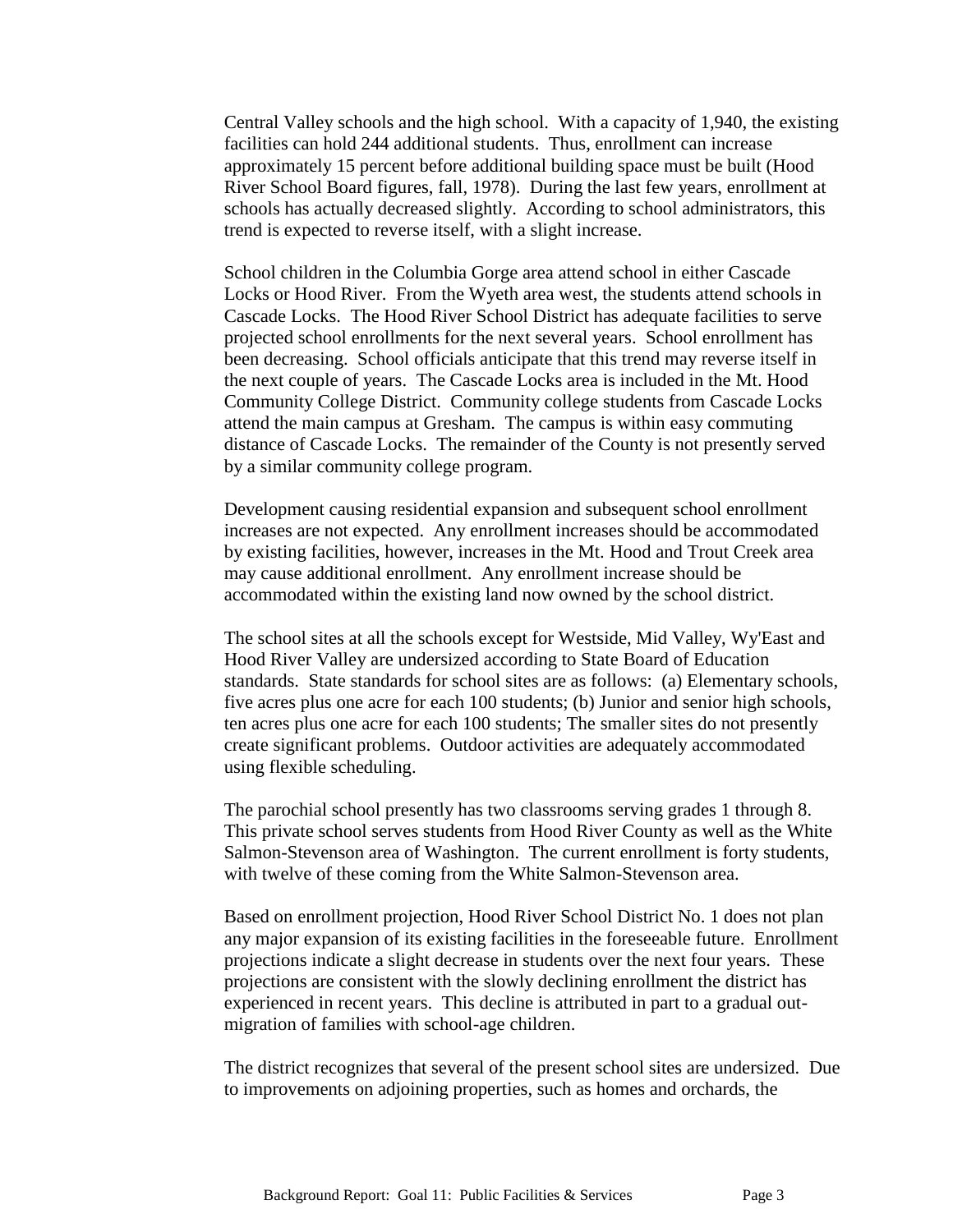Central Valley schools and the high school. With a capacity of 1,940, the existing facilities can hold 244 additional students. Thus, enrollment can increase approximately 15 percent before additional building space must be built (Hood River School Board figures, fall, 1978). During the last few years, enrollment at schools has actually decreased slightly. According to school administrators, this trend is expected to reverse itself, with a slight increase.

School children in the Columbia Gorge area attend school in either Cascade Locks or Hood River. From the Wyeth area west, the students attend schools in Cascade Locks. The Hood River School District has adequate facilities to serve projected school enrollments for the next several years. School enrollment has been decreasing. School officials anticipate that this trend may reverse itself in the next couple of years. The Cascade Locks area is included in the Mt. Hood Community College District. Community college students from Cascade Locks attend the main campus at Gresham. The campus is within easy commuting distance of Cascade Locks. The remainder of the County is not presently served by a similar community college program.

Development causing residential expansion and subsequent school enrollment increases are not expected. Any enrollment increases should be accommodated by existing facilities, however, increases in the Mt. Hood and Trout Creek area may cause additional enrollment. Any enrollment increase should be accommodated within the existing land now owned by the school district.

The school sites at all the schools except for Westside, Mid Valley, Wy'East and Hood River Valley are undersized according to State Board of Education standards. State standards for school sites are as follows: (a) Elementary schools, five acres plus one acre for each 100 students; (b) Junior and senior high schools, ten acres plus one acre for each 100 students; The smaller sites do not presently create significant problems. Outdoor activities are adequately accommodated using flexible scheduling.

The parochial school presently has two classrooms serving grades 1 through 8. This private school serves students from Hood River County as well as the White Salmon-Stevenson area of Washington. The current enrollment is forty students, with twelve of these coming from the White Salmon-Stevenson area.

Based on enrollment projection, Hood River School District No. 1 does not plan any major expansion of its existing facilities in the foreseeable future. Enrollment projections indicate a slight decrease in students over the next four years. These projections are consistent with the slowly declining enrollment the district has experienced in recent years. This decline is attributed in part to a gradual outmigration of families with school-age children.

The district recognizes that several of the present school sites are undersized. Due to improvements on adjoining properties, such as homes and orchards, the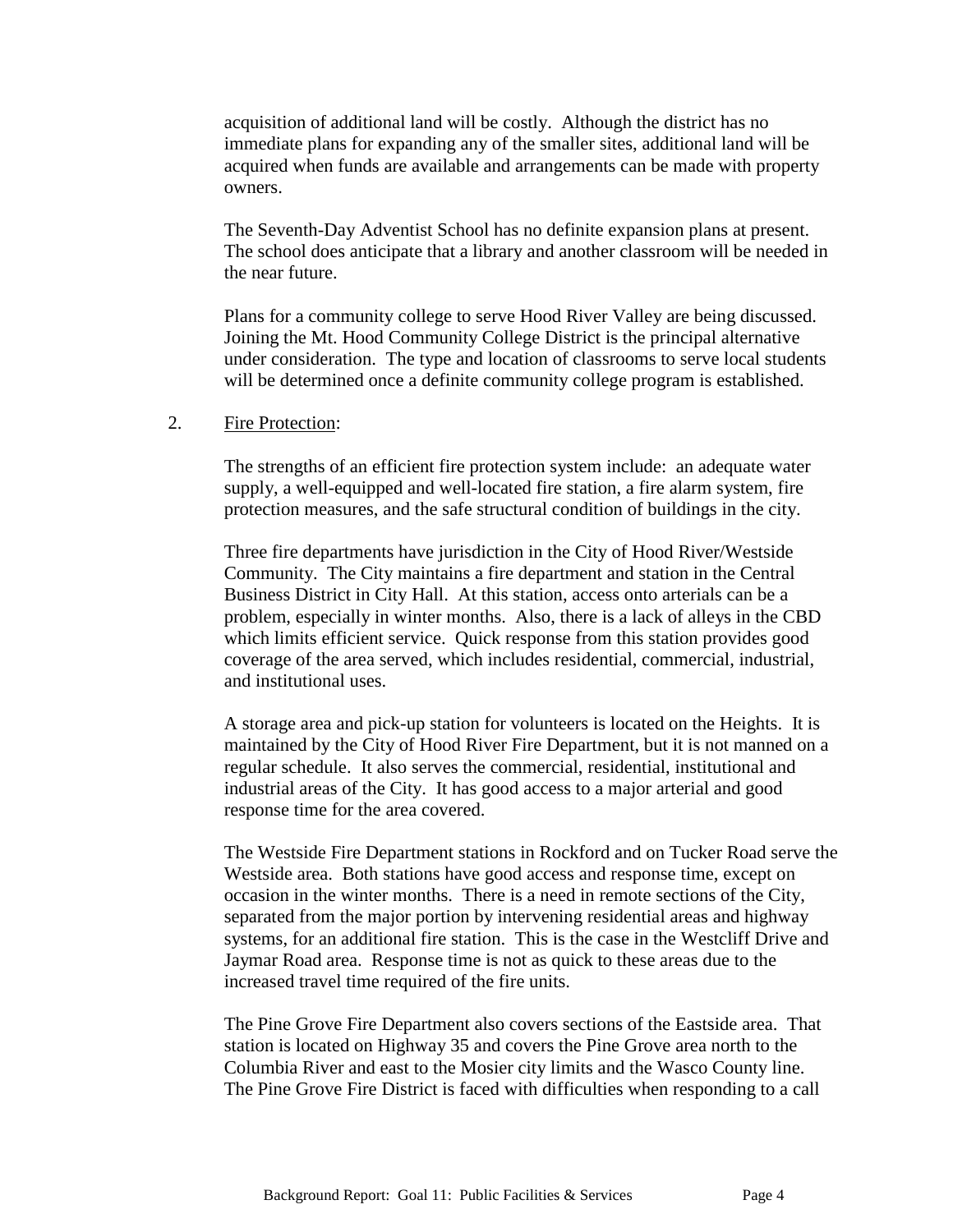acquisition of additional land will be costly. Although the district has no immediate plans for expanding any of the smaller sites, additional land will be acquired when funds are available and arrangements can be made with property owners.

The Seventh-Day Adventist School has no definite expansion plans at present. The school does anticipate that a library and another classroom will be needed in the near future.

Plans for a community college to serve Hood River Valley are being discussed. Joining the Mt. Hood Community College District is the principal alternative under consideration. The type and location of classrooms to serve local students will be determined once a definite community college program is established.

#### 2. Fire Protection:

The strengths of an efficient fire protection system include: an adequate water supply, a well-equipped and well-located fire station, a fire alarm system, fire protection measures, and the safe structural condition of buildings in the city.

Three fire departments have jurisdiction in the City of Hood River/Westside Community. The City maintains a fire department and station in the Central Business District in City Hall. At this station, access onto arterials can be a problem, especially in winter months. Also, there is a lack of alleys in the CBD which limits efficient service. Quick response from this station provides good coverage of the area served, which includes residential, commercial, industrial, and institutional uses.

A storage area and pick-up station for volunteers is located on the Heights. It is maintained by the City of Hood River Fire Department, but it is not manned on a regular schedule. It also serves the commercial, residential, institutional and industrial areas of the City. It has good access to a major arterial and good response time for the area covered.

The Westside Fire Department stations in Rockford and on Tucker Road serve the Westside area. Both stations have good access and response time, except on occasion in the winter months. There is a need in remote sections of the City, separated from the major portion by intervening residential areas and highway systems, for an additional fire station. This is the case in the Westcliff Drive and Jaymar Road area. Response time is not as quick to these areas due to the increased travel time required of the fire units.

The Pine Grove Fire Department also covers sections of the Eastside area. That station is located on Highway 35 and covers the Pine Grove area north to the Columbia River and east to the Mosier city limits and the Wasco County line. The Pine Grove Fire District is faced with difficulties when responding to a call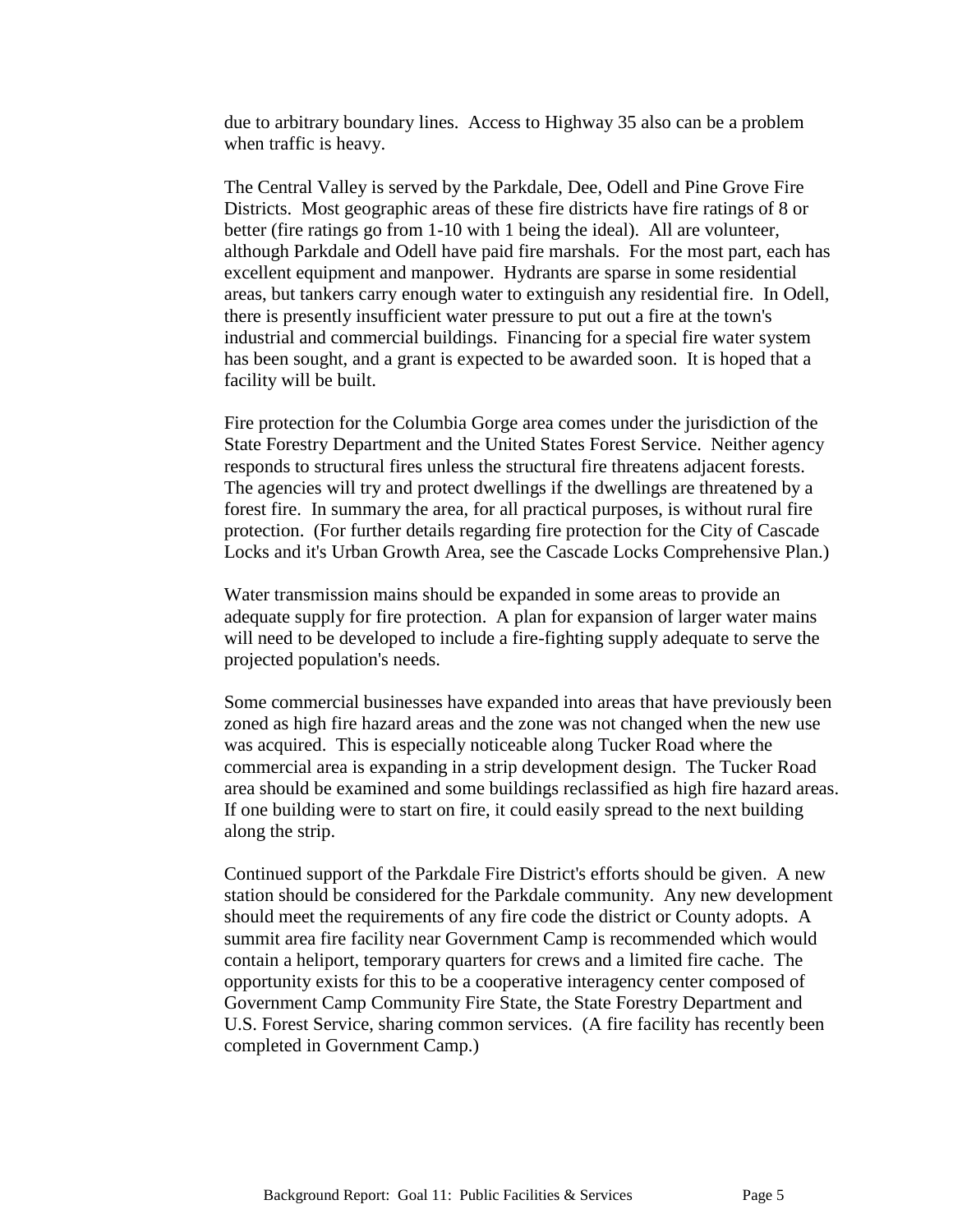due to arbitrary boundary lines. Access to Highway 35 also can be a problem when traffic is heavy.

The Central Valley is served by the Parkdale, Dee, Odell and Pine Grove Fire Districts. Most geographic areas of these fire districts have fire ratings of 8 or better (fire ratings go from 1-10 with 1 being the ideal). All are volunteer, although Parkdale and Odell have paid fire marshals. For the most part, each has excellent equipment and manpower. Hydrants are sparse in some residential areas, but tankers carry enough water to extinguish any residential fire. In Odell, there is presently insufficient water pressure to put out a fire at the town's industrial and commercial buildings. Financing for a special fire water system has been sought, and a grant is expected to be awarded soon. It is hoped that a facility will be built.

Fire protection for the Columbia Gorge area comes under the jurisdiction of the State Forestry Department and the United States Forest Service. Neither agency responds to structural fires unless the structural fire threatens adjacent forests. The agencies will try and protect dwellings if the dwellings are threatened by a forest fire. In summary the area, for all practical purposes, is without rural fire protection. (For further details regarding fire protection for the City of Cascade Locks and it's Urban Growth Area, see the Cascade Locks Comprehensive Plan.)

Water transmission mains should be expanded in some areas to provide an adequate supply for fire protection. A plan for expansion of larger water mains will need to be developed to include a fire-fighting supply adequate to serve the projected population's needs.

Some commercial businesses have expanded into areas that have previously been zoned as high fire hazard areas and the zone was not changed when the new use was acquired. This is especially noticeable along Tucker Road where the commercial area is expanding in a strip development design. The Tucker Road area should be examined and some buildings reclassified as high fire hazard areas. If one building were to start on fire, it could easily spread to the next building along the strip.

Continued support of the Parkdale Fire District's efforts should be given. A new station should be considered for the Parkdale community. Any new development should meet the requirements of any fire code the district or County adopts. A summit area fire facility near Government Camp is recommended which would contain a heliport, temporary quarters for crews and a limited fire cache. The opportunity exists for this to be a cooperative interagency center composed of Government Camp Community Fire State, the State Forestry Department and U.S. Forest Service, sharing common services. (A fire facility has recently been completed in Government Camp.)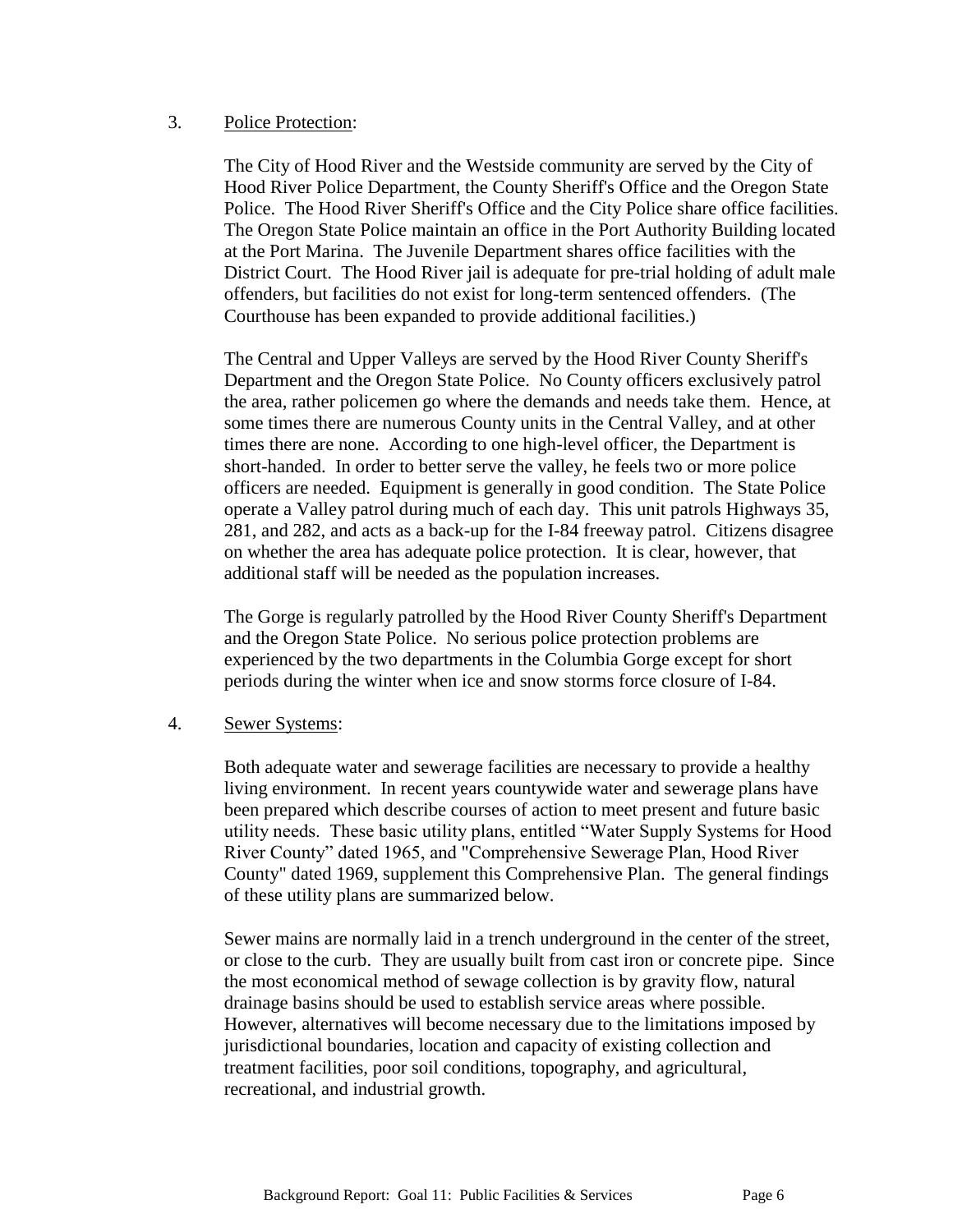#### 3. Police Protection:

The City of Hood River and the Westside community are served by the City of Hood River Police Department, the County Sheriff's Office and the Oregon State Police. The Hood River Sheriff's Office and the City Police share office facilities. The Oregon State Police maintain an office in the Port Authority Building located at the Port Marina. The Juvenile Department shares office facilities with the District Court. The Hood River jail is adequate for pre-trial holding of adult male offenders, but facilities do not exist for long-term sentenced offenders. (The Courthouse has been expanded to provide additional facilities.)

The Central and Upper Valleys are served by the Hood River County Sheriff's Department and the Oregon State Police. No County officers exclusively patrol the area, rather policemen go where the demands and needs take them. Hence, at some times there are numerous County units in the Central Valley, and at other times there are none. According to one high-level officer, the Department is short-handed. In order to better serve the valley, he feels two or more police officers are needed. Equipment is generally in good condition. The State Police operate a Valley patrol during much of each day. This unit patrols Highways 35, 281, and 282, and acts as a back-up for the I-84 freeway patrol. Citizens disagree on whether the area has adequate police protection. It is clear, however, that additional staff will be needed as the population increases.

The Gorge is regularly patrolled by the Hood River County Sheriff's Department and the Oregon State Police. No serious police protection problems are experienced by the two departments in the Columbia Gorge except for short periods during the winter when ice and snow storms force closure of I-84.

## 4. Sewer Systems:

Both adequate water and sewerage facilities are necessary to provide a healthy living environment. In recent years countywide water and sewerage plans have been prepared which describe courses of action to meet present and future basic utility needs. These basic utility plans, entitled "Water Supply Systems for Hood River County" dated 1965, and "Comprehensive Sewerage Plan, Hood River County" dated 1969, supplement this Comprehensive Plan. The general findings of these utility plans are summarized below.

Sewer mains are normally laid in a trench underground in the center of the street, or close to the curb. They are usually built from cast iron or concrete pipe. Since the most economical method of sewage collection is by gravity flow, natural drainage basins should be used to establish service areas where possible. However, alternatives will become necessary due to the limitations imposed by jurisdictional boundaries, location and capacity of existing collection and treatment facilities, poor soil conditions, topography, and agricultural, recreational, and industrial growth.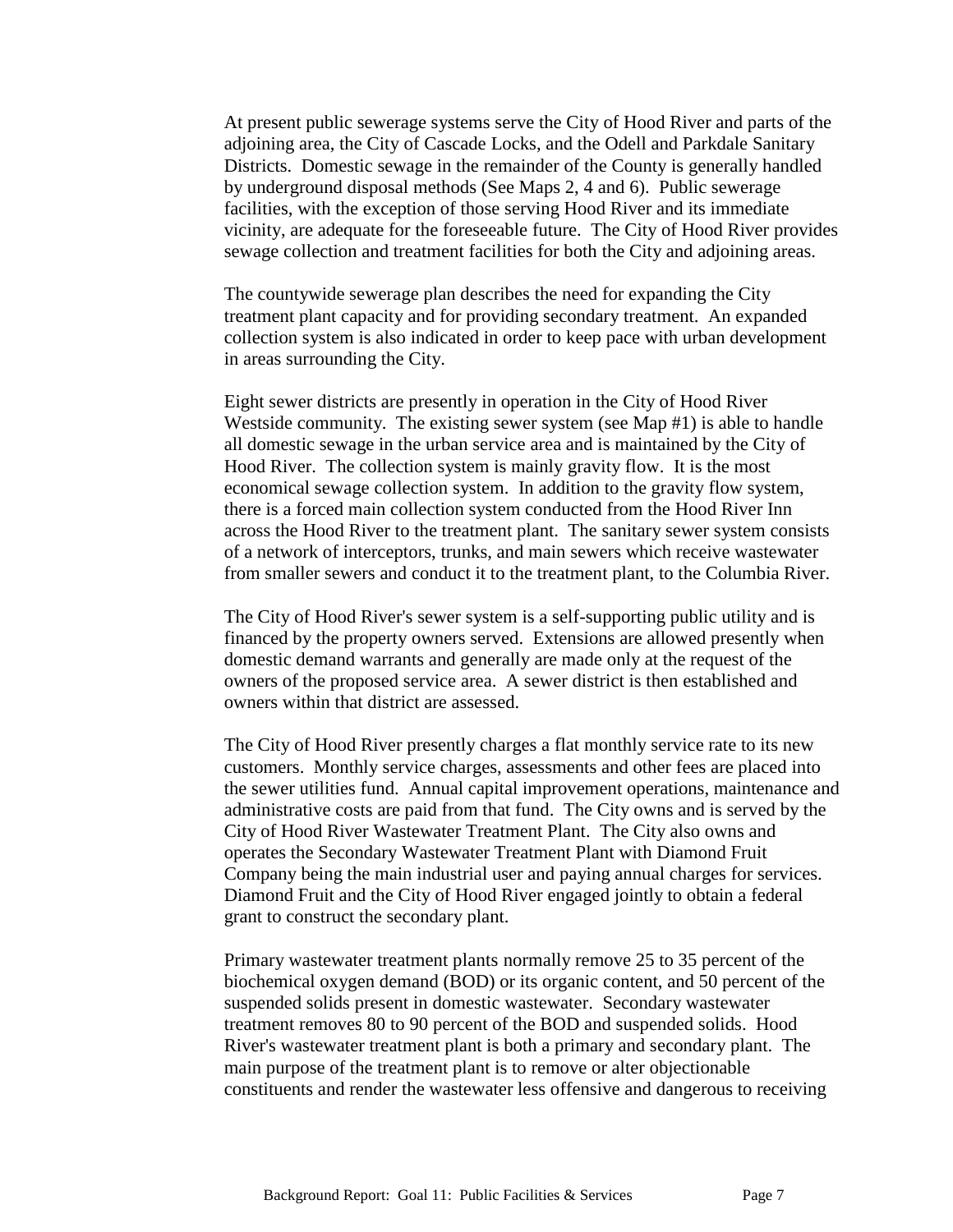At present public sewerage systems serve the City of Hood River and parts of the adjoining area, the City of Cascade Locks, and the Odell and Parkdale Sanitary Districts. Domestic sewage in the remainder of the County is generally handled by underground disposal methods (See Maps 2, 4 and 6). Public sewerage facilities, with the exception of those serving Hood River and its immediate vicinity, are adequate for the foreseeable future. The City of Hood River provides sewage collection and treatment facilities for both the City and adjoining areas.

The countywide sewerage plan describes the need for expanding the City treatment plant capacity and for providing secondary treatment. An expanded collection system is also indicated in order to keep pace with urban development in areas surrounding the City.

Eight sewer districts are presently in operation in the City of Hood River Westside community. The existing sewer system (see Map #1) is able to handle all domestic sewage in the urban service area and is maintained by the City of Hood River. The collection system is mainly gravity flow. It is the most economical sewage collection system. In addition to the gravity flow system, there is a forced main collection system conducted from the Hood River Inn across the Hood River to the treatment plant. The sanitary sewer system consists of a network of interceptors, trunks, and main sewers which receive wastewater from smaller sewers and conduct it to the treatment plant, to the Columbia River.

The City of Hood River's sewer system is a self-supporting public utility and is financed by the property owners served. Extensions are allowed presently when domestic demand warrants and generally are made only at the request of the owners of the proposed service area. A sewer district is then established and owners within that district are assessed.

The City of Hood River presently charges a flat monthly service rate to its new customers. Monthly service charges, assessments and other fees are placed into the sewer utilities fund. Annual capital improvement operations, maintenance and administrative costs are paid from that fund. The City owns and is served by the City of Hood River Wastewater Treatment Plant. The City also owns and operates the Secondary Wastewater Treatment Plant with Diamond Fruit Company being the main industrial user and paying annual charges for services. Diamond Fruit and the City of Hood River engaged jointly to obtain a federal grant to construct the secondary plant.

Primary wastewater treatment plants normally remove 25 to 35 percent of the biochemical oxygen demand (BOD) or its organic content, and 50 percent of the suspended solids present in domestic wastewater. Secondary wastewater treatment removes 80 to 90 percent of the BOD and suspended solids. Hood River's wastewater treatment plant is both a primary and secondary plant. The main purpose of the treatment plant is to remove or alter objectionable constituents and render the wastewater less offensive and dangerous to receiving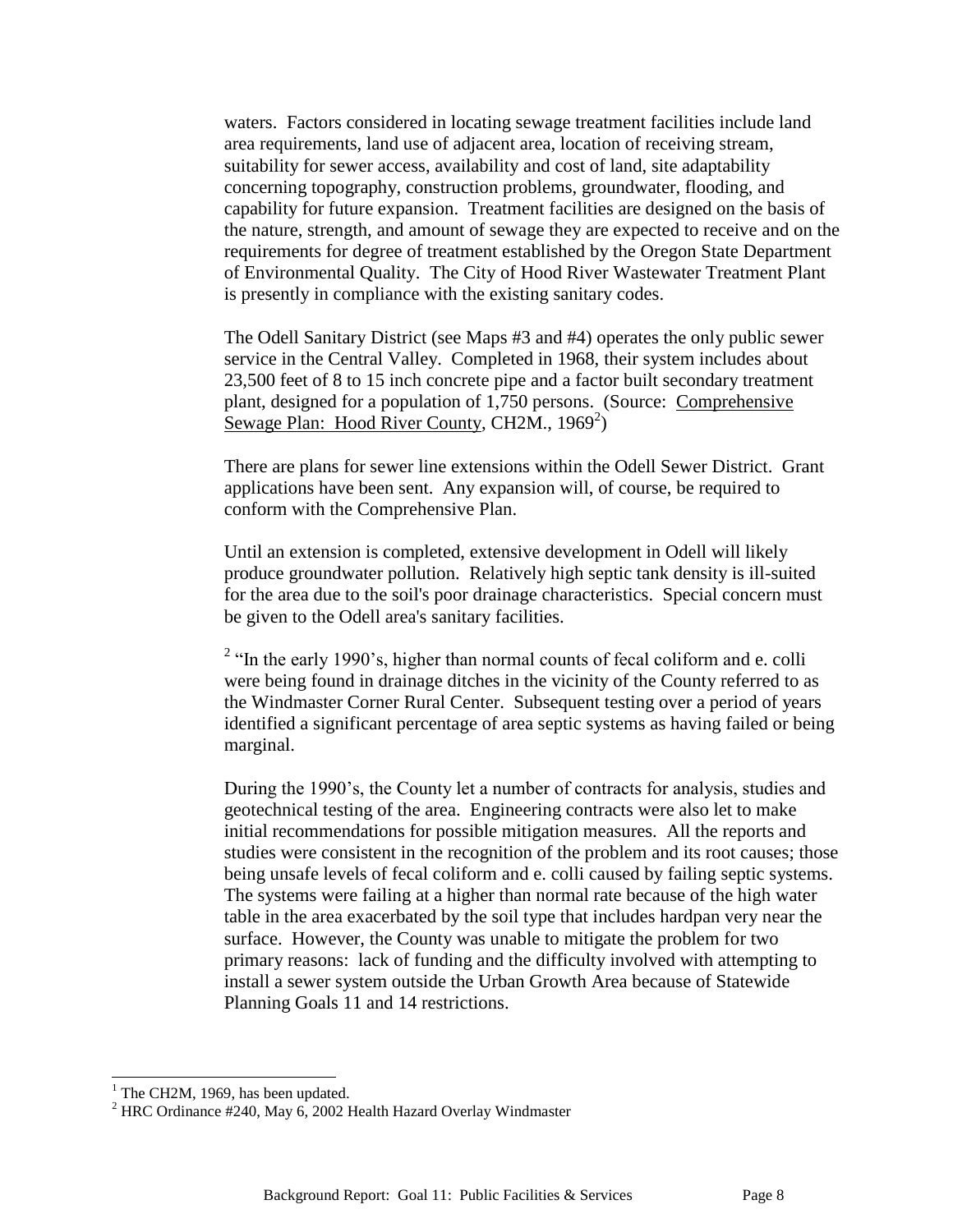waters. Factors considered in locating sewage treatment facilities include land area requirements, land use of adjacent area, location of receiving stream, suitability for sewer access, availability and cost of land, site adaptability concerning topography, construction problems, groundwater, flooding, and capability for future expansion. Treatment facilities are designed on the basis of the nature, strength, and amount of sewage they are expected to receive and on the requirements for degree of treatment established by the Oregon State Department of Environmental Quality. The City of Hood River Wastewater Treatment Plant is presently in compliance with the existing sanitary codes.

The Odell Sanitary District (see Maps #3 and #4) operates the only public sewer service in the Central Valley. Completed in 1968, their system includes about 23,500 feet of 8 to 15 inch concrete pipe and a factor built secondary treatment plant, designed for a population of 1,750 persons. (Source: Comprehensive Sewage Plan: Hood River County, CH2M., 1969<sup>2</sup>)

There are plans for sewer line extensions within the Odell Sewer District. Grant applications have been sent. Any expansion will, of course, be required to conform with the Comprehensive Plan.

Until an extension is completed, extensive development in Odell will likely produce groundwater pollution. Relatively high septic tank density is ill-suited for the area due to the soil's poor drainage characteristics. Special concern must be given to the Odell area's sanitary facilities.

 $2$  "In the early 1990's, higher than normal counts of fecal coliform and e. colli were being found in drainage ditches in the vicinity of the County referred to as the Windmaster Corner Rural Center. Subsequent testing over a period of years identified a significant percentage of area septic systems as having failed or being marginal.

During the 1990's, the County let a number of contracts for analysis, studies and geotechnical testing of the area. Engineering contracts were also let to make initial recommendations for possible mitigation measures. All the reports and studies were consistent in the recognition of the problem and its root causes; those being unsafe levels of fecal coliform and e. colli caused by failing septic systems. The systems were failing at a higher than normal rate because of the high water table in the area exacerbated by the soil type that includes hardpan very near the surface. However, the County was unable to mitigate the problem for two primary reasons: lack of funding and the difficulty involved with attempting to install a sewer system outside the Urban Growth Area because of Statewide Planning Goals 11 and 14 restrictions.

 $\overline{a}$ 

 $<sup>1</sup>$  The CH2M, 1969, has been updated.</sup>

 $2$  HRC Ordinance #240, May 6, 2002 Health Hazard Overlay Windmaster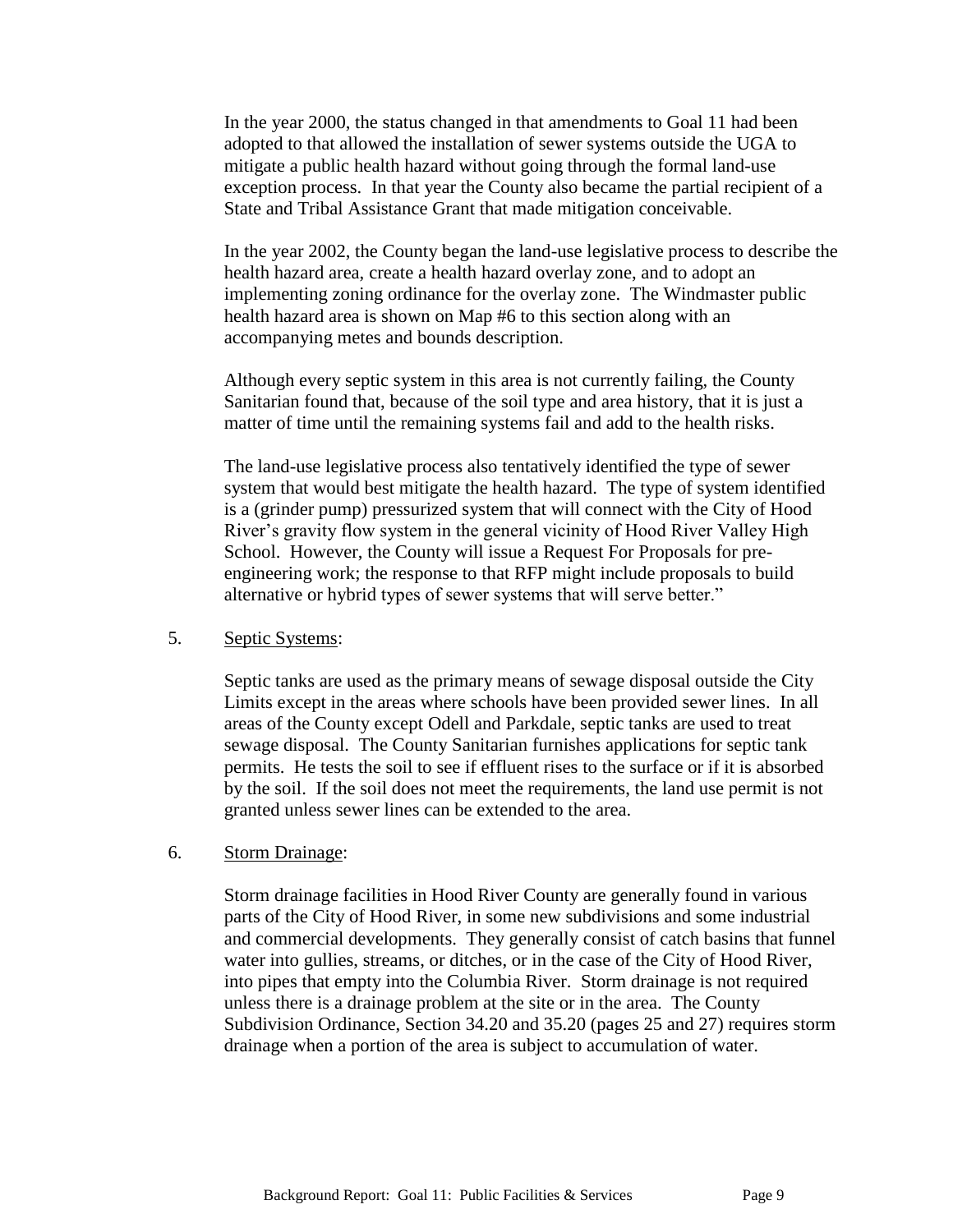In the year 2000, the status changed in that amendments to Goal 11 had been adopted to that allowed the installation of sewer systems outside the UGA to mitigate a public health hazard without going through the formal land-use exception process. In that year the County also became the partial recipient of a State and Tribal Assistance Grant that made mitigation conceivable.

In the year 2002, the County began the land-use legislative process to describe the health hazard area, create a health hazard overlay zone, and to adopt an implementing zoning ordinance for the overlay zone. The Windmaster public health hazard area is shown on Map #6 to this section along with an accompanying metes and bounds description.

Although every septic system in this area is not currently failing, the County Sanitarian found that, because of the soil type and area history, that it is just a matter of time until the remaining systems fail and add to the health risks.

The land-use legislative process also tentatively identified the type of sewer system that would best mitigate the health hazard. The type of system identified is a (grinder pump) pressurized system that will connect with the City of Hood River's gravity flow system in the general vicinity of Hood River Valley High School. However, the County will issue a Request For Proposals for preengineering work; the response to that RFP might include proposals to build alternative or hybrid types of sewer systems that will serve better."

## 5. Septic Systems:

Septic tanks are used as the primary means of sewage disposal outside the City Limits except in the areas where schools have been provided sewer lines. In all areas of the County except Odell and Parkdale, septic tanks are used to treat sewage disposal. The County Sanitarian furnishes applications for septic tank permits. He tests the soil to see if effluent rises to the surface or if it is absorbed by the soil. If the soil does not meet the requirements, the land use permit is not granted unless sewer lines can be extended to the area.

## 6. Storm Drainage:

Storm drainage facilities in Hood River County are generally found in various parts of the City of Hood River, in some new subdivisions and some industrial and commercial developments. They generally consist of catch basins that funnel water into gullies, streams, or ditches, or in the case of the City of Hood River, into pipes that empty into the Columbia River. Storm drainage is not required unless there is a drainage problem at the site or in the area. The County Subdivision Ordinance, Section 34.20 and 35.20 (pages 25 and 27) requires storm drainage when a portion of the area is subject to accumulation of water.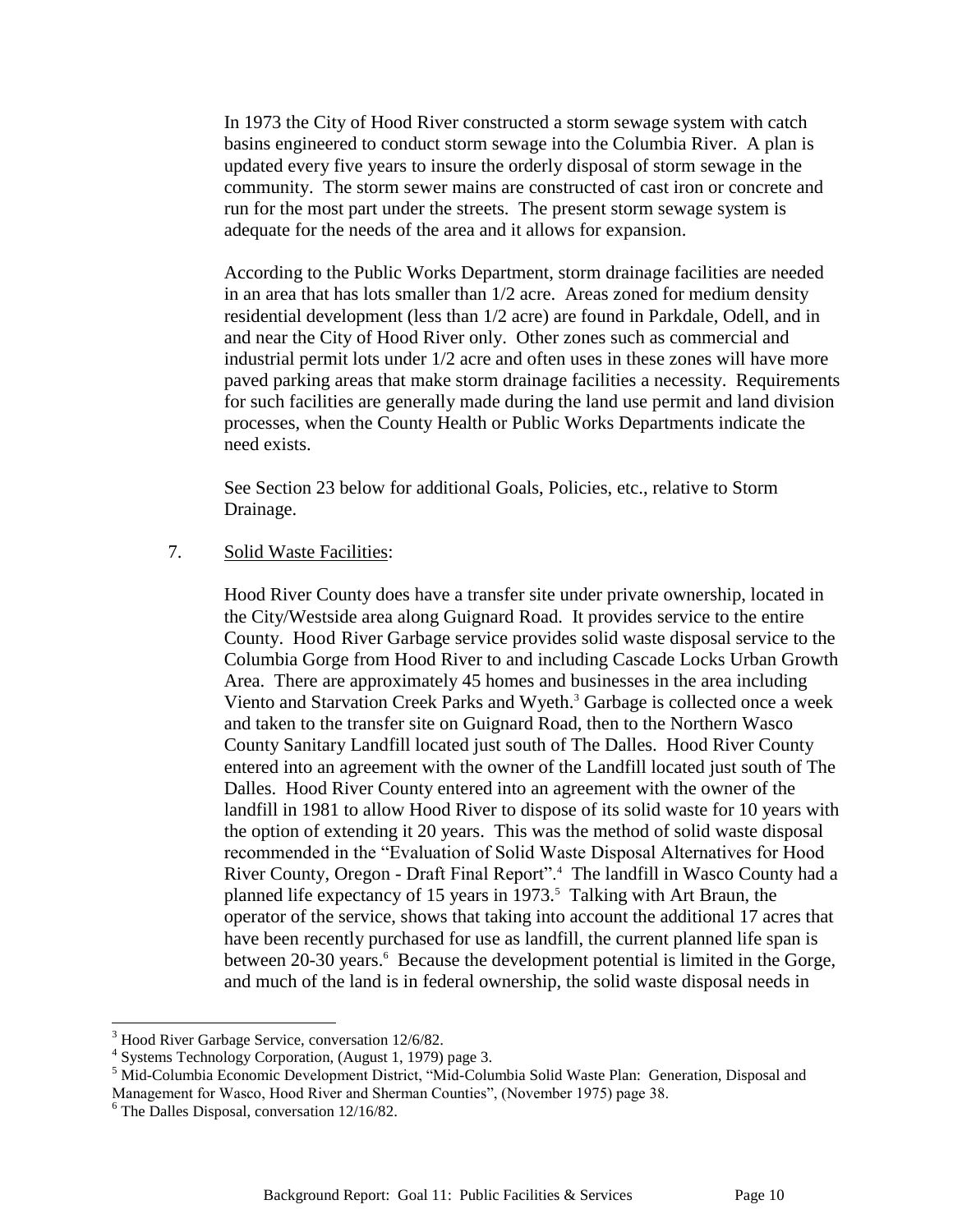In 1973 the City of Hood River constructed a storm sewage system with catch basins engineered to conduct storm sewage into the Columbia River. A plan is updated every five years to insure the orderly disposal of storm sewage in the community. The storm sewer mains are constructed of cast iron or concrete and run for the most part under the streets. The present storm sewage system is adequate for the needs of the area and it allows for expansion.

According to the Public Works Department, storm drainage facilities are needed in an area that has lots smaller than 1/2 acre. Areas zoned for medium density residential development (less than 1/2 acre) are found in Parkdale, Odell, and in and near the City of Hood River only. Other zones such as commercial and industrial permit lots under 1/2 acre and often uses in these zones will have more paved parking areas that make storm drainage facilities a necessity. Requirements for such facilities are generally made during the land use permit and land division processes, when the County Health or Public Works Departments indicate the need exists.

See Section 23 below for additional Goals, Policies, etc., relative to Storm Drainage.

## 7. Solid Waste Facilities:

Hood River County does have a transfer site under private ownership, located in the City/Westside area along Guignard Road. It provides service to the entire County. Hood River Garbage service provides solid waste disposal service to the Columbia Gorge from Hood River to and including Cascade Locks Urban Growth Area. There are approximately 45 homes and businesses in the area including Viento and Starvation Creek Parks and Wyeth.<sup>3</sup> Garbage is collected once a week and taken to the transfer site on Guignard Road, then to the Northern Wasco County Sanitary Landfill located just south of The Dalles. Hood River County entered into an agreement with the owner of the Landfill located just south of The Dalles. Hood River County entered into an agreement with the owner of the landfill in 1981 to allow Hood River to dispose of its solid waste for 10 years with the option of extending it 20 years. This was the method of solid waste disposal recommended in the "Evaluation of Solid Waste Disposal Alternatives for Hood River County, Oregon - Draft Final Report".<sup>4</sup> The landfill in Wasco County had a planned life expectancy of 15 years in 1973.<sup>5</sup> Talking with Art Braun, the operator of the service, shows that taking into account the additional 17 acres that have been recently purchased for use as landfill, the current planned life span is between 20-30 years.<sup>6</sup> Because the development potential is limited in the Gorge, and much of the land is in federal ownership, the solid waste disposal needs in

 $\overline{a}$ 

<sup>&</sup>lt;sup>3</sup> Hood River Garbage Service, conversation 12/6/82.

<sup>4</sup> Systems Technology Corporation, (August 1, 1979) page 3.

<sup>5</sup> Mid-Columbia Economic Development District, "Mid-Columbia Solid Waste Plan: Generation, Disposal and Management for Wasco, Hood River and Sherman Counties", (November 1975) page 38.

 $6$  The Dalles Disposal, conversation 12/16/82.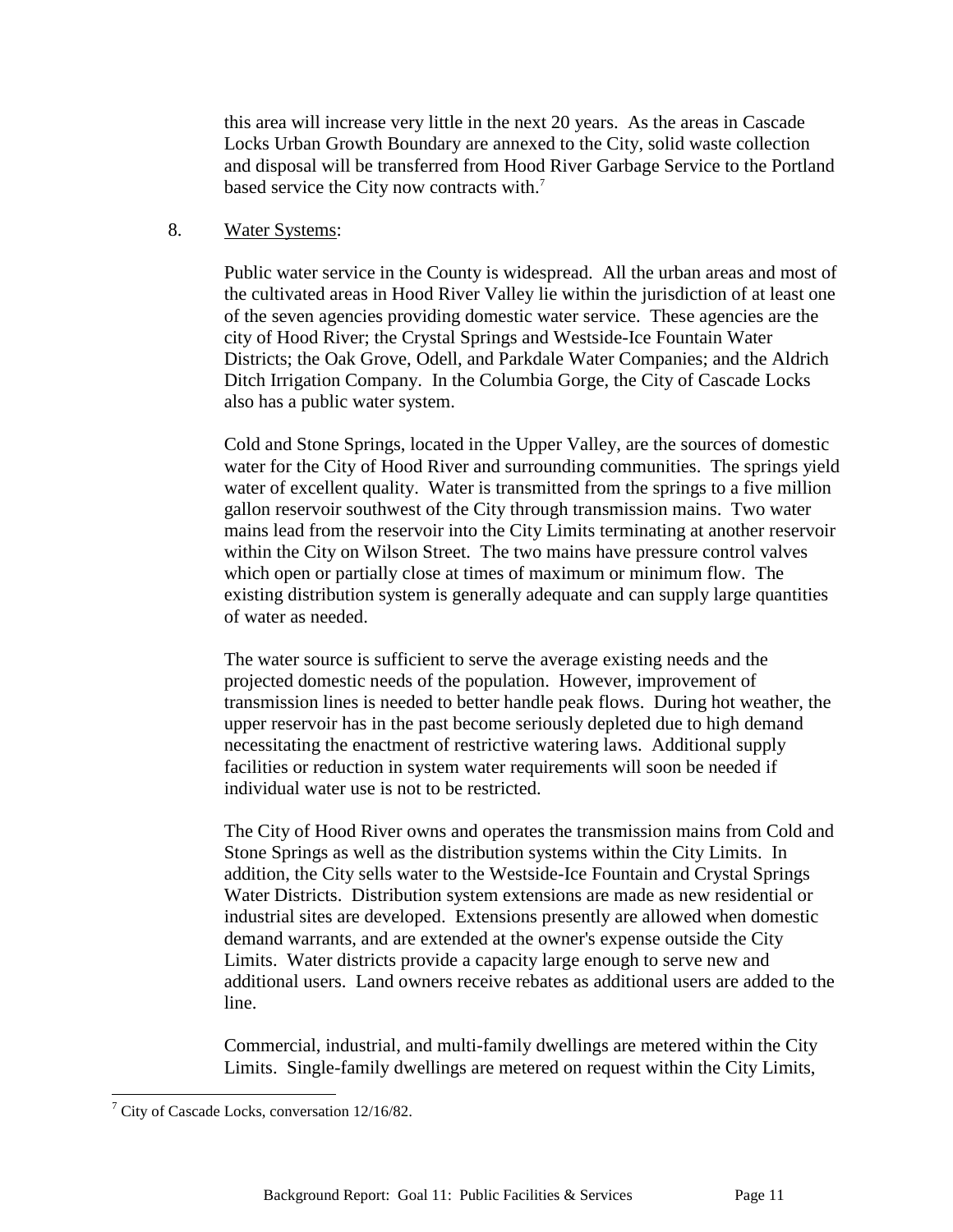this area will increase very little in the next 20 years. As the areas in Cascade Locks Urban Growth Boundary are annexed to the City, solid waste collection and disposal will be transferred from Hood River Garbage Service to the Portland based service the City now contracts with.<sup>7</sup>

#### 8. Water Systems:

Public water service in the County is widespread. All the urban areas and most of the cultivated areas in Hood River Valley lie within the jurisdiction of at least one of the seven agencies providing domestic water service. These agencies are the city of Hood River; the Crystal Springs and Westside-Ice Fountain Water Districts; the Oak Grove, Odell, and Parkdale Water Companies; and the Aldrich Ditch Irrigation Company. In the Columbia Gorge, the City of Cascade Locks also has a public water system.

Cold and Stone Springs, located in the Upper Valley, are the sources of domestic water for the City of Hood River and surrounding communities. The springs yield water of excellent quality. Water is transmitted from the springs to a five million gallon reservoir southwest of the City through transmission mains. Two water mains lead from the reservoir into the City Limits terminating at another reservoir within the City on Wilson Street. The two mains have pressure control valves which open or partially close at times of maximum or minimum flow. The existing distribution system is generally adequate and can supply large quantities of water as needed.

The water source is sufficient to serve the average existing needs and the projected domestic needs of the population. However, improvement of transmission lines is needed to better handle peak flows. During hot weather, the upper reservoir has in the past become seriously depleted due to high demand necessitating the enactment of restrictive watering laws. Additional supply facilities or reduction in system water requirements will soon be needed if individual water use is not to be restricted.

The City of Hood River owns and operates the transmission mains from Cold and Stone Springs as well as the distribution systems within the City Limits. In addition, the City sells water to the Westside-Ice Fountain and Crystal Springs Water Districts. Distribution system extensions are made as new residential or industrial sites are developed. Extensions presently are allowed when domestic demand warrants, and are extended at the owner's expense outside the City Limits. Water districts provide a capacity large enough to serve new and additional users. Land owners receive rebates as additional users are added to the line.

Commercial, industrial, and multi-family dwellings are metered within the City Limits. Single-family dwellings are metered on request within the City Limits,

l

 $7$  City of Cascade Locks, conversation 12/16/82.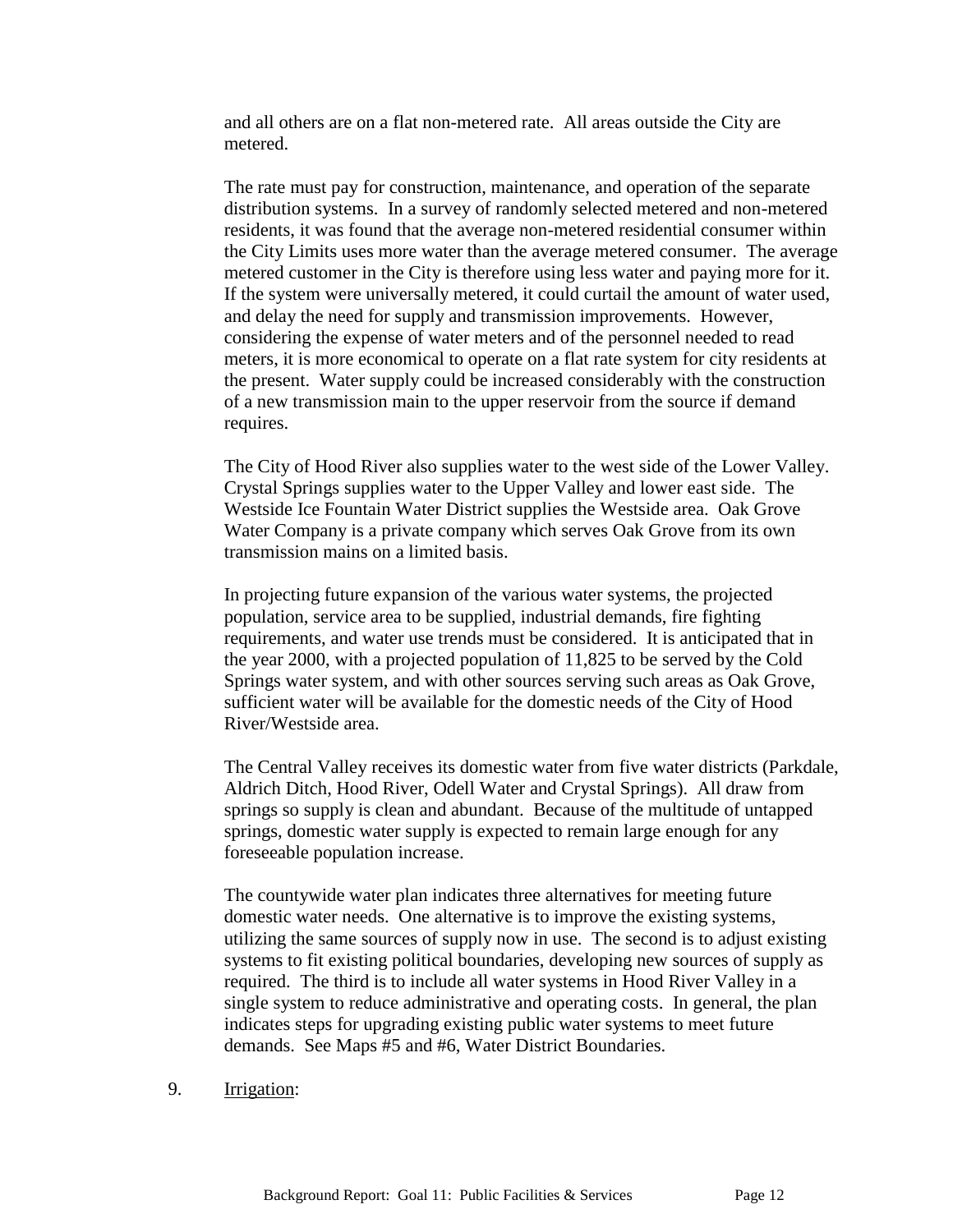and all others are on a flat non-metered rate. All areas outside the City are metered.

The rate must pay for construction, maintenance, and operation of the separate distribution systems. In a survey of randomly selected metered and non-metered residents, it was found that the average non-metered residential consumer within the City Limits uses more water than the average metered consumer. The average metered customer in the City is therefore using less water and paying more for it. If the system were universally metered, it could curtail the amount of water used, and delay the need for supply and transmission improvements. However, considering the expense of water meters and of the personnel needed to read meters, it is more economical to operate on a flat rate system for city residents at the present. Water supply could be increased considerably with the construction of a new transmission main to the upper reservoir from the source if demand requires.

The City of Hood River also supplies water to the west side of the Lower Valley. Crystal Springs supplies water to the Upper Valley and lower east side. The Westside Ice Fountain Water District supplies the Westside area. Oak Grove Water Company is a private company which serves Oak Grove from its own transmission mains on a limited basis.

In projecting future expansion of the various water systems, the projected population, service area to be supplied, industrial demands, fire fighting requirements, and water use trends must be considered. It is anticipated that in the year 2000, with a projected population of 11,825 to be served by the Cold Springs water system, and with other sources serving such areas as Oak Grove, sufficient water will be available for the domestic needs of the City of Hood River/Westside area.

The Central Valley receives its domestic water from five water districts (Parkdale, Aldrich Ditch, Hood River, Odell Water and Crystal Springs). All draw from springs so supply is clean and abundant. Because of the multitude of untapped springs, domestic water supply is expected to remain large enough for any foreseeable population increase.

The countywide water plan indicates three alternatives for meeting future domestic water needs. One alternative is to improve the existing systems, utilizing the same sources of supply now in use. The second is to adjust existing systems to fit existing political boundaries, developing new sources of supply as required. The third is to include all water systems in Hood River Valley in a single system to reduce administrative and operating costs. In general, the plan indicates steps for upgrading existing public water systems to meet future demands. See Maps #5 and #6, Water District Boundaries.

9. Irrigation: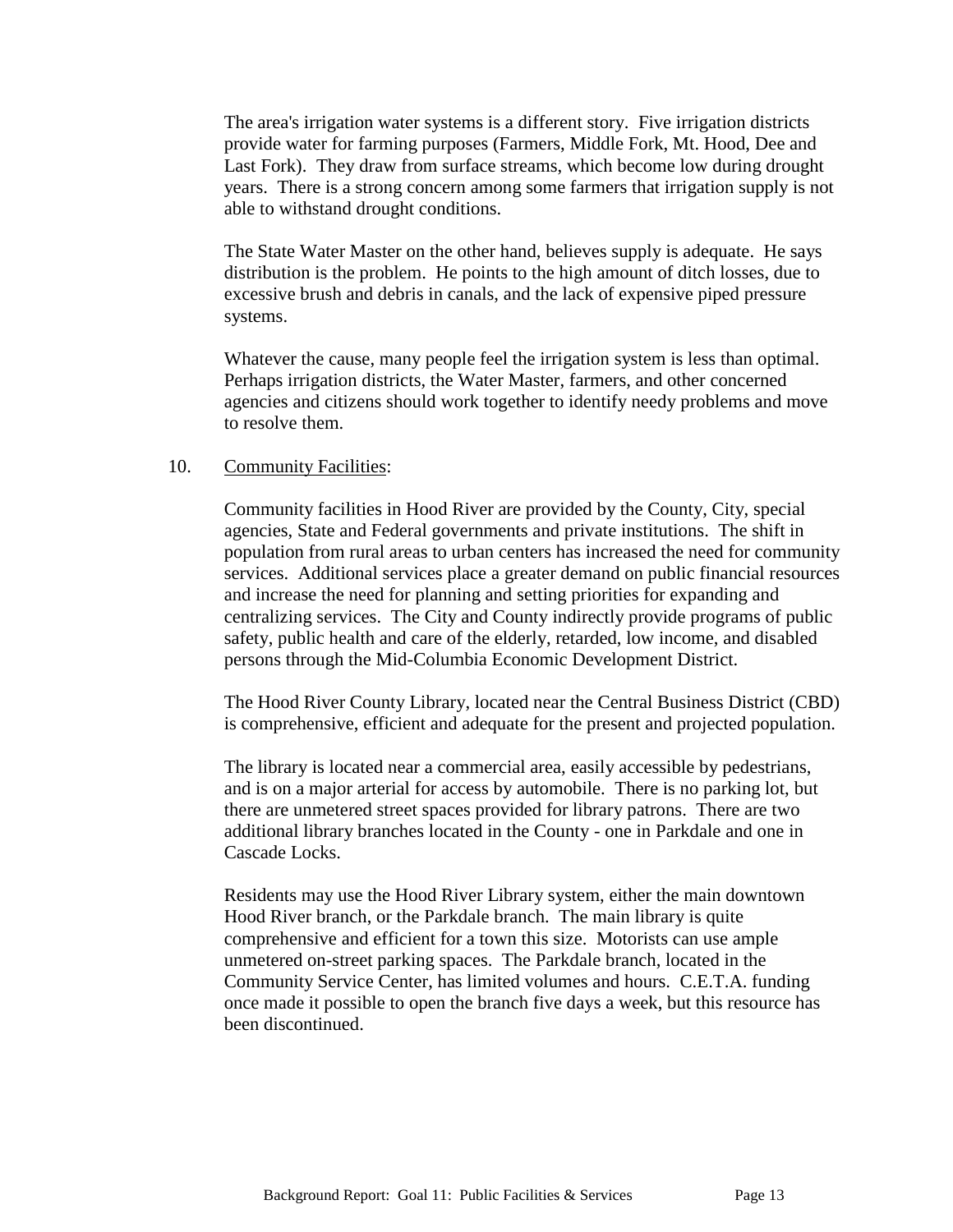The area's irrigation water systems is a different story. Five irrigation districts provide water for farming purposes (Farmers, Middle Fork, Mt. Hood, Dee and Last Fork). They draw from surface streams, which become low during drought years. There is a strong concern among some farmers that irrigation supply is not able to withstand drought conditions.

The State Water Master on the other hand, believes supply is adequate. He says distribution is the problem. He points to the high amount of ditch losses, due to excessive brush and debris in canals, and the lack of expensive piped pressure systems.

Whatever the cause, many people feel the irrigation system is less than optimal. Perhaps irrigation districts, the Water Master, farmers, and other concerned agencies and citizens should work together to identify needy problems and move to resolve them.

#### 10. Community Facilities:

Community facilities in Hood River are provided by the County, City, special agencies, State and Federal governments and private institutions. The shift in population from rural areas to urban centers has increased the need for community services. Additional services place a greater demand on public financial resources and increase the need for planning and setting priorities for expanding and centralizing services. The City and County indirectly provide programs of public safety, public health and care of the elderly, retarded, low income, and disabled persons through the Mid-Columbia Economic Development District.

The Hood River County Library, located near the Central Business District (CBD) is comprehensive, efficient and adequate for the present and projected population.

The library is located near a commercial area, easily accessible by pedestrians, and is on a major arterial for access by automobile. There is no parking lot, but there are unmetered street spaces provided for library patrons. There are two additional library branches located in the County - one in Parkdale and one in Cascade Locks.

Residents may use the Hood River Library system, either the main downtown Hood River branch, or the Parkdale branch. The main library is quite comprehensive and efficient for a town this size. Motorists can use ample unmetered on-street parking spaces. The Parkdale branch, located in the Community Service Center, has limited volumes and hours. C.E.T.A. funding once made it possible to open the branch five days a week, but this resource has been discontinued.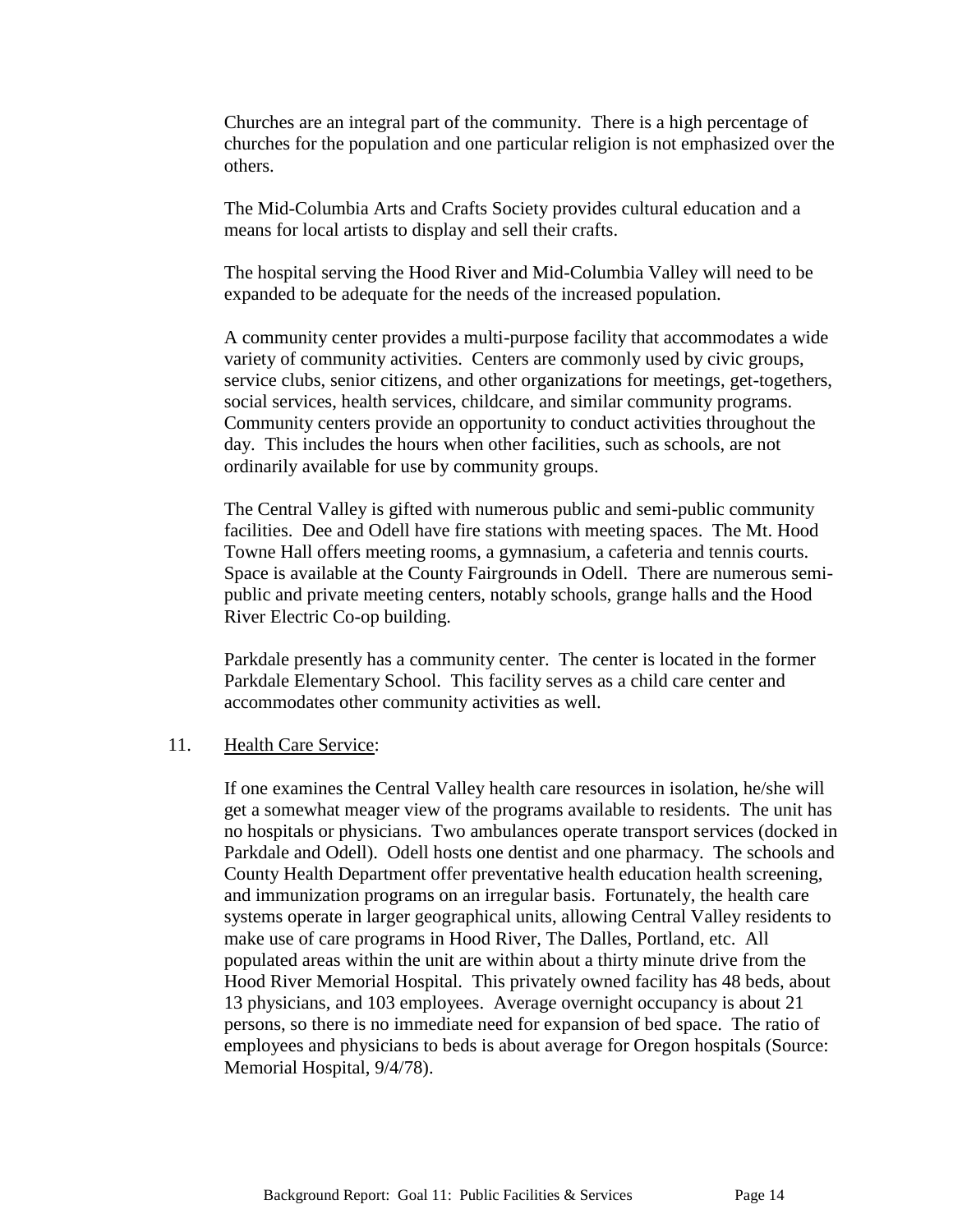Churches are an integral part of the community. There is a high percentage of churches for the population and one particular religion is not emphasized over the others.

The Mid-Columbia Arts and Crafts Society provides cultural education and a means for local artists to display and sell their crafts.

The hospital serving the Hood River and Mid-Columbia Valley will need to be expanded to be adequate for the needs of the increased population.

A community center provides a multi-purpose facility that accommodates a wide variety of community activities. Centers are commonly used by civic groups, service clubs, senior citizens, and other organizations for meetings, get-togethers, social services, health services, childcare, and similar community programs. Community centers provide an opportunity to conduct activities throughout the day. This includes the hours when other facilities, such as schools, are not ordinarily available for use by community groups.

The Central Valley is gifted with numerous public and semi-public community facilities. Dee and Odell have fire stations with meeting spaces. The Mt. Hood Towne Hall offers meeting rooms, a gymnasium, a cafeteria and tennis courts. Space is available at the County Fairgrounds in Odell. There are numerous semipublic and private meeting centers, notably schools, grange halls and the Hood River Electric Co-op building.

Parkdale presently has a community center. The center is located in the former Parkdale Elementary School. This facility serves as a child care center and accommodates other community activities as well.

#### 11. Health Care Service:

If one examines the Central Valley health care resources in isolation, he/she will get a somewhat meager view of the programs available to residents. The unit has no hospitals or physicians. Two ambulances operate transport services (docked in Parkdale and Odell). Odell hosts one dentist and one pharmacy. The schools and County Health Department offer preventative health education health screening, and immunization programs on an irregular basis. Fortunately, the health care systems operate in larger geographical units, allowing Central Valley residents to make use of care programs in Hood River, The Dalles, Portland, etc. All populated areas within the unit are within about a thirty minute drive from the Hood River Memorial Hospital. This privately owned facility has 48 beds, about 13 physicians, and 103 employees. Average overnight occupancy is about 21 persons, so there is no immediate need for expansion of bed space. The ratio of employees and physicians to beds is about average for Oregon hospitals (Source: Memorial Hospital, 9/4/78).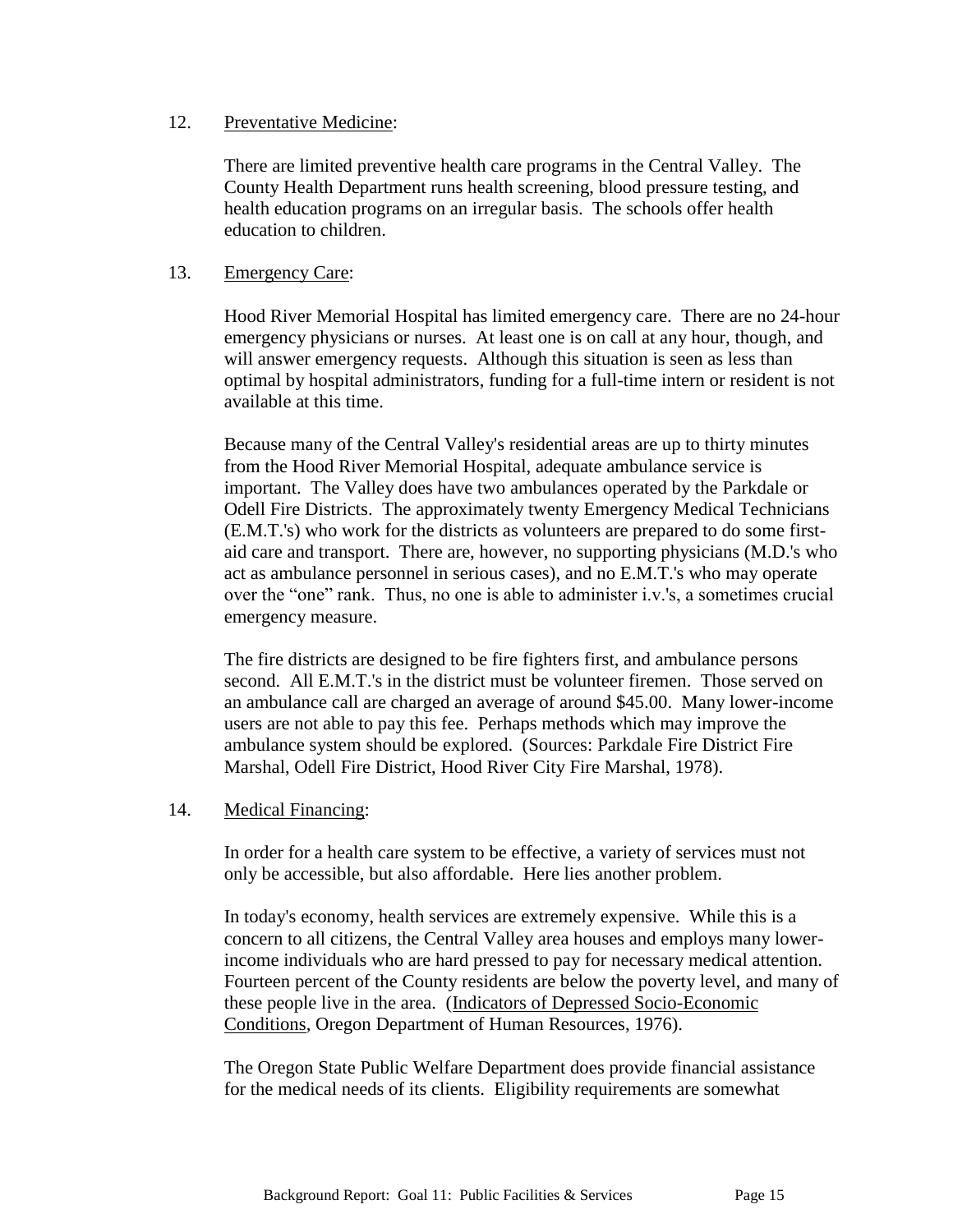#### 12. Preventative Medicine:

There are limited preventive health care programs in the Central Valley. The County Health Department runs health screening, blood pressure testing, and health education programs on an irregular basis. The schools offer health education to children.

# 13. Emergency Care:

Hood River Memorial Hospital has limited emergency care. There are no 24-hour emergency physicians or nurses. At least one is on call at any hour, though, and will answer emergency requests. Although this situation is seen as less than optimal by hospital administrators, funding for a full-time intern or resident is not available at this time.

Because many of the Central Valley's residential areas are up to thirty minutes from the Hood River Memorial Hospital, adequate ambulance service is important. The Valley does have two ambulances operated by the Parkdale or Odell Fire Districts. The approximately twenty Emergency Medical Technicians (E.M.T.'s) who work for the districts as volunteers are prepared to do some firstaid care and transport. There are, however, no supporting physicians (M.D.'s who act as ambulance personnel in serious cases), and no E.M.T.'s who may operate over the "one" rank. Thus, no one is able to administer i.v.'s, a sometimes crucial emergency measure.

The fire districts are designed to be fire fighters first, and ambulance persons second. All E.M.T.'s in the district must be volunteer firemen. Those served on an ambulance call are charged an average of around \$45.00. Many lower-income users are not able to pay this fee. Perhaps methods which may improve the ambulance system should be explored. (Sources: Parkdale Fire District Fire Marshal, Odell Fire District, Hood River City Fire Marshal, 1978).

## 14. Medical Financing:

In order for a health care system to be effective, a variety of services must not only be accessible, but also affordable. Here lies another problem.

In today's economy, health services are extremely expensive. While this is a concern to all citizens, the Central Valley area houses and employs many lowerincome individuals who are hard pressed to pay for necessary medical attention. Fourteen percent of the County residents are below the poverty level, and many of these people live in the area. (Indicators of Depressed Socio-Economic Conditions, Oregon Department of Human Resources, 1976).

The Oregon State Public Welfare Department does provide financial assistance for the medical needs of its clients. Eligibility requirements are somewhat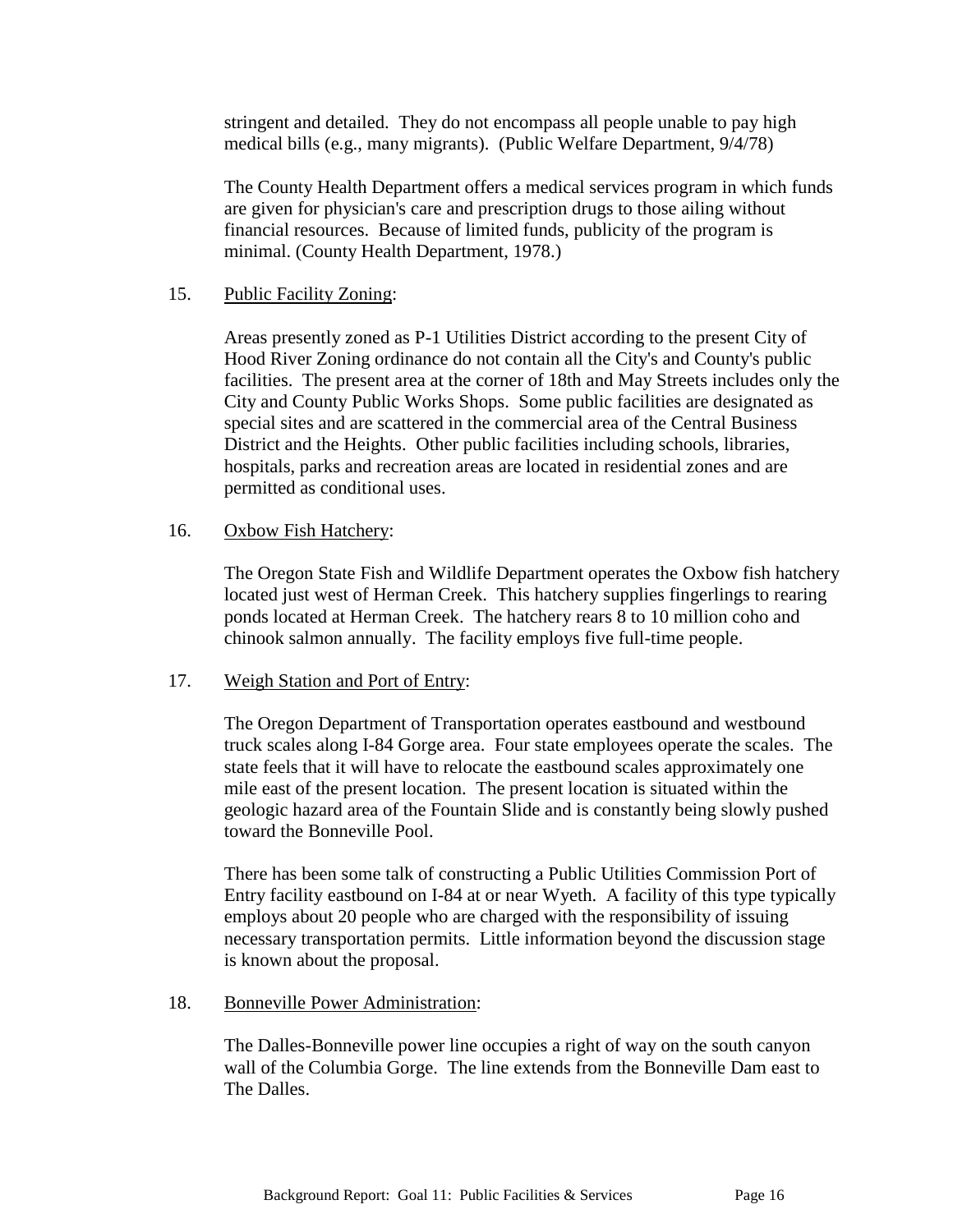stringent and detailed. They do not encompass all people unable to pay high medical bills (e.g., many migrants). (Public Welfare Department, 9/4/78)

The County Health Department offers a medical services program in which funds are given for physician's care and prescription drugs to those ailing without financial resources. Because of limited funds, publicity of the program is minimal. (County Health Department, 1978.)

# 15. Public Facility Zoning:

Areas presently zoned as P-1 Utilities District according to the present City of Hood River Zoning ordinance do not contain all the City's and County's public facilities. The present area at the corner of 18th and May Streets includes only the City and County Public Works Shops. Some public facilities are designated as special sites and are scattered in the commercial area of the Central Business District and the Heights. Other public facilities including schools, libraries, hospitals, parks and recreation areas are located in residential zones and are permitted as conditional uses.

# 16. Oxbow Fish Hatchery:

The Oregon State Fish and Wildlife Department operates the Oxbow fish hatchery located just west of Herman Creek. This hatchery supplies fingerlings to rearing ponds located at Herman Creek. The hatchery rears 8 to 10 million coho and chinook salmon annually. The facility employs five full-time people.

## 17. Weigh Station and Port of Entry:

The Oregon Department of Transportation operates eastbound and westbound truck scales along I-84 Gorge area. Four state employees operate the scales. The state feels that it will have to relocate the eastbound scales approximately one mile east of the present location. The present location is situated within the geologic hazard area of the Fountain Slide and is constantly being slowly pushed toward the Bonneville Pool.

There has been some talk of constructing a Public Utilities Commission Port of Entry facility eastbound on I-84 at or near Wyeth. A facility of this type typically employs about 20 people who are charged with the responsibility of issuing necessary transportation permits. Little information beyond the discussion stage is known about the proposal.

## 18. Bonneville Power Administration:

The Dalles-Bonneville power line occupies a right of way on the south canyon wall of the Columbia Gorge. The line extends from the Bonneville Dam east to The Dalles.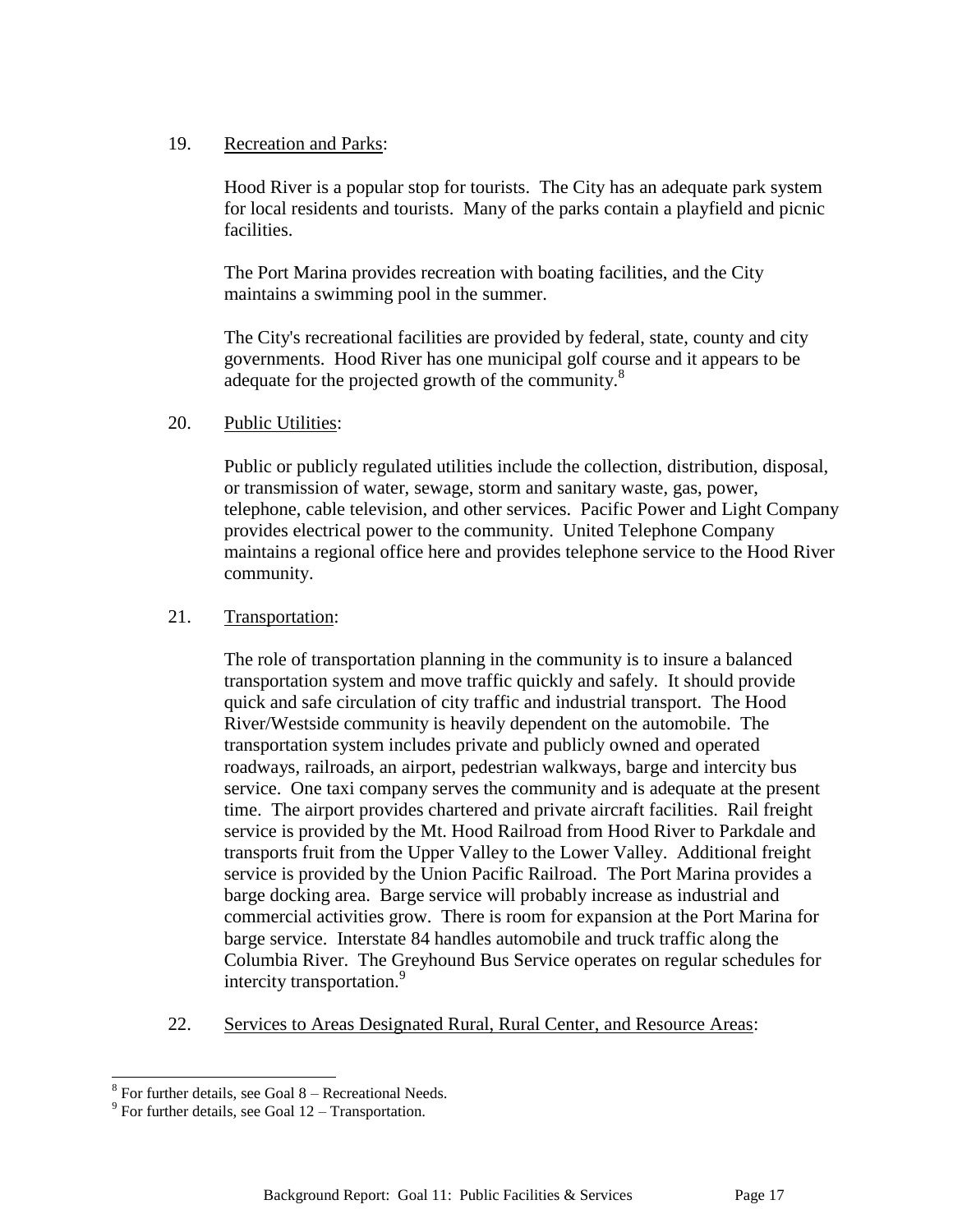# 19. Recreation and Parks:

Hood River is a popular stop for tourists. The City has an adequate park system for local residents and tourists. Many of the parks contain a playfield and picnic facilities.

The Port Marina provides recreation with boating facilities, and the City maintains a swimming pool in the summer.

The City's recreational facilities are provided by federal, state, county and city governments. Hood River has one municipal golf course and it appears to be adequate for the projected growth of the community.<sup>8</sup>

# 20. Public Utilities:

Public or publicly regulated utilities include the collection, distribution, disposal, or transmission of water, sewage, storm and sanitary waste, gas, power, telephone, cable television, and other services. Pacific Power and Light Company provides electrical power to the community. United Telephone Company maintains a regional office here and provides telephone service to the Hood River community.

# 21. Transportation:

The role of transportation planning in the community is to insure a balanced transportation system and move traffic quickly and safely. It should provide quick and safe circulation of city traffic and industrial transport. The Hood River/Westside community is heavily dependent on the automobile. The transportation system includes private and publicly owned and operated roadways, railroads, an airport, pedestrian walkways, barge and intercity bus service. One taxi company serves the community and is adequate at the present time. The airport provides chartered and private aircraft facilities. Rail freight service is provided by the Mt. Hood Railroad from Hood River to Parkdale and transports fruit from the Upper Valley to the Lower Valley. Additional freight service is provided by the Union Pacific Railroad. The Port Marina provides a barge docking area. Barge service will probably increase as industrial and commercial activities grow. There is room for expansion at the Port Marina for barge service. Interstate 84 handles automobile and truck traffic along the Columbia River. The Greyhound Bus Service operates on regular schedules for intercity transportation.<sup>9</sup>

22. Services to Areas Designated Rural, Rural Center, and Resource Areas:

<sup>8&</sup>lt;br><sup>8</sup> For further details, see Goal 8 – Recreational Needs.

 $9^9$  For further details, see Goal 12 – Transportation.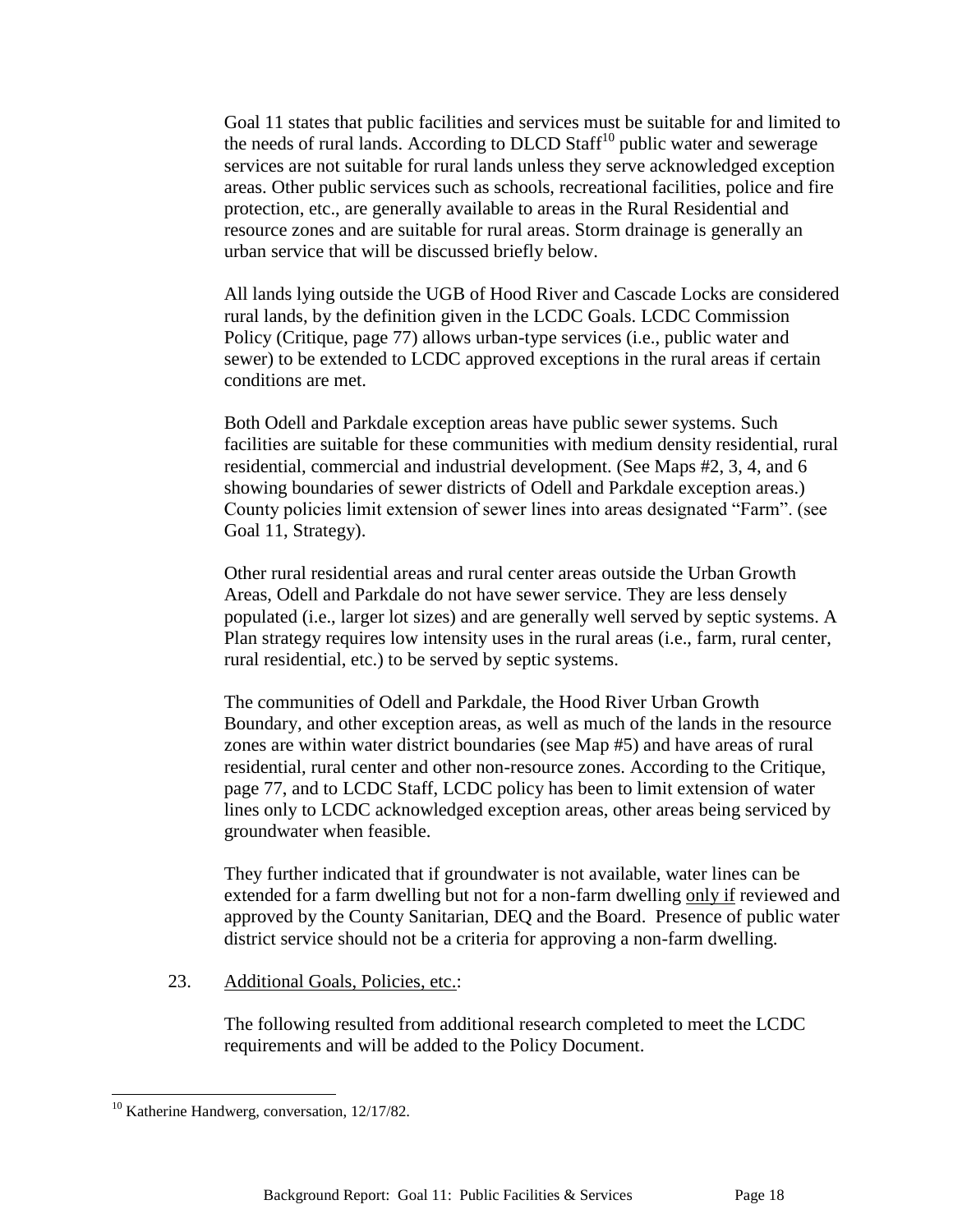Goal 11 states that public facilities and services must be suitable for and limited to the needs of rural lands. According to DLCD Staff<sup>10</sup> public water and sewerage services are not suitable for rural lands unless they serve acknowledged exception areas. Other public services such as schools, recreational facilities, police and fire protection, etc., are generally available to areas in the Rural Residential and resource zones and are suitable for rural areas. Storm drainage is generally an urban service that will be discussed briefly below.

All lands lying outside the UGB of Hood River and Cascade Locks are considered rural lands, by the definition given in the LCDC Goals. LCDC Commission Policy (Critique, page 77) allows urban-type services (i.e., public water and sewer) to be extended to LCDC approved exceptions in the rural areas if certain conditions are met.

Both Odell and Parkdale exception areas have public sewer systems. Such facilities are suitable for these communities with medium density residential, rural residential, commercial and industrial development. (See Maps #2, 3, 4, and 6 showing boundaries of sewer districts of Odell and Parkdale exception areas.) County policies limit extension of sewer lines into areas designated "Farm". (see Goal 11, Strategy).

Other rural residential areas and rural center areas outside the Urban Growth Areas, Odell and Parkdale do not have sewer service. They are less densely populated (i.e., larger lot sizes) and are generally well served by septic systems. A Plan strategy requires low intensity uses in the rural areas (i.e., farm, rural center, rural residential, etc.) to be served by septic systems.

The communities of Odell and Parkdale, the Hood River Urban Growth Boundary, and other exception areas, as well as much of the lands in the resource zones are within water district boundaries (see Map #5) and have areas of rural residential, rural center and other non-resource zones. According to the Critique, page 77, and to LCDC Staff, LCDC policy has been to limit extension of water lines only to LCDC acknowledged exception areas, other areas being serviced by groundwater when feasible.

They further indicated that if groundwater is not available, water lines can be extended for a farm dwelling but not for a non-farm dwelling only if reviewed and approved by the County Sanitarian, DEQ and the Board. Presence of public water district service should not be a criteria for approving a non-farm dwelling.

23. Additional Goals, Policies, etc.:

The following resulted from additional research completed to meet the LCDC requirements and will be added to the Policy Document.

l

<sup>&</sup>lt;sup>10</sup> Katherine Handwerg, conversation, 12/17/82.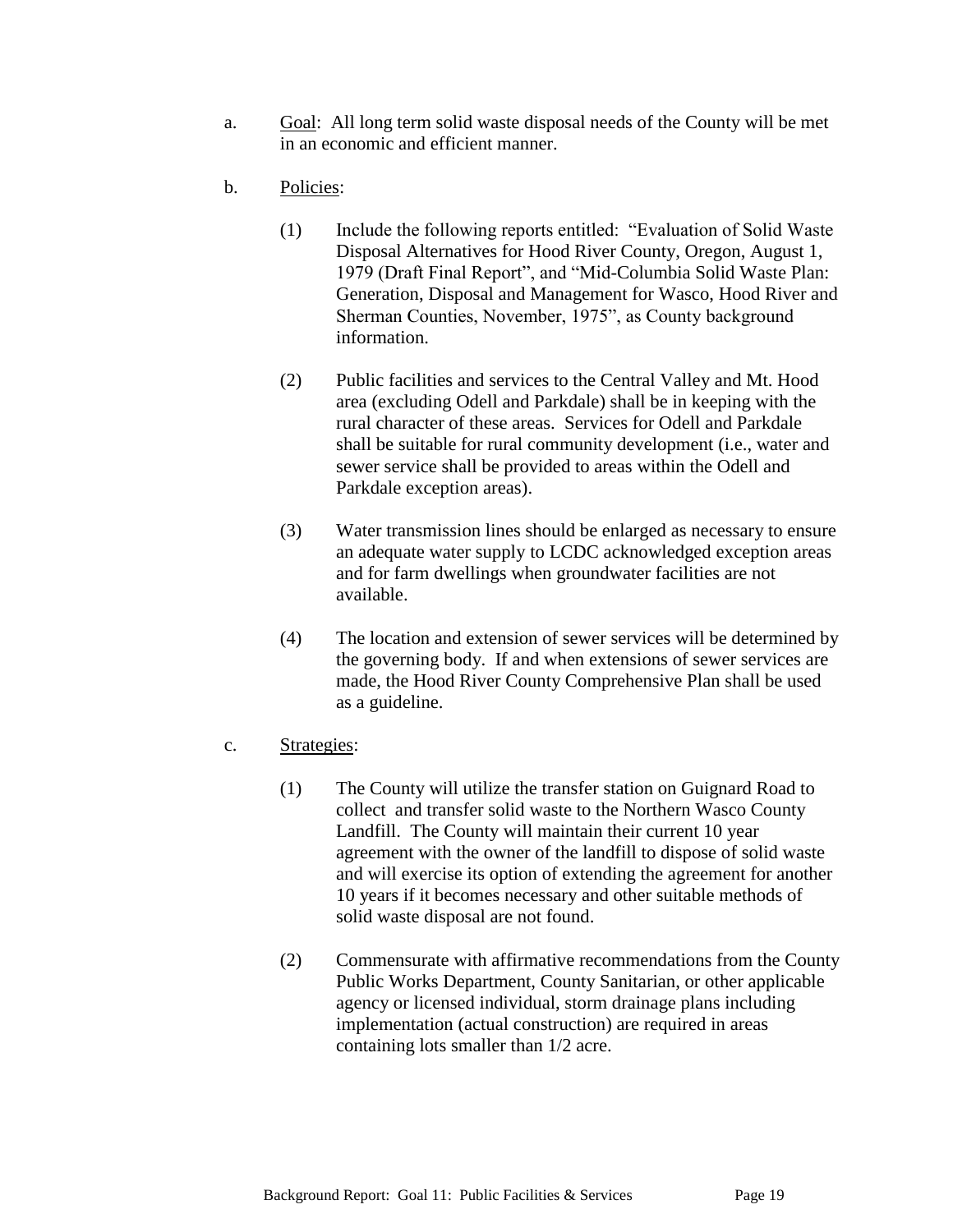- a. Goal: All long term solid waste disposal needs of the County will be met in an economic and efficient manner.
- b. Policies:
	- (1) Include the following reports entitled: "Evaluation of Solid Waste Disposal Alternatives for Hood River County, Oregon, August 1, 1979 (Draft Final Report", and "Mid-Columbia Solid Waste Plan: Generation, Disposal and Management for Wasco, Hood River and Sherman Counties, November, 1975", as County background information.
	- (2) Public facilities and services to the Central Valley and Mt. Hood area (excluding Odell and Parkdale) shall be in keeping with the rural character of these areas. Services for Odell and Parkdale shall be suitable for rural community development (i.e., water and sewer service shall be provided to areas within the Odell and Parkdale exception areas).
	- (3) Water transmission lines should be enlarged as necessary to ensure an adequate water supply to LCDC acknowledged exception areas and for farm dwellings when groundwater facilities are not available.
	- (4) The location and extension of sewer services will be determined by the governing body. If and when extensions of sewer services are made, the Hood River County Comprehensive Plan shall be used as a guideline.
- c. Strategies:
	- (1) The County will utilize the transfer station on Guignard Road to collect and transfer solid waste to the Northern Wasco County Landfill. The County will maintain their current 10 year agreement with the owner of the landfill to dispose of solid waste and will exercise its option of extending the agreement for another 10 years if it becomes necessary and other suitable methods of solid waste disposal are not found.
	- (2) Commensurate with affirmative recommendations from the County Public Works Department, County Sanitarian, or other applicable agency or licensed individual, storm drainage plans including implementation (actual construction) are required in areas containing lots smaller than 1/2 acre.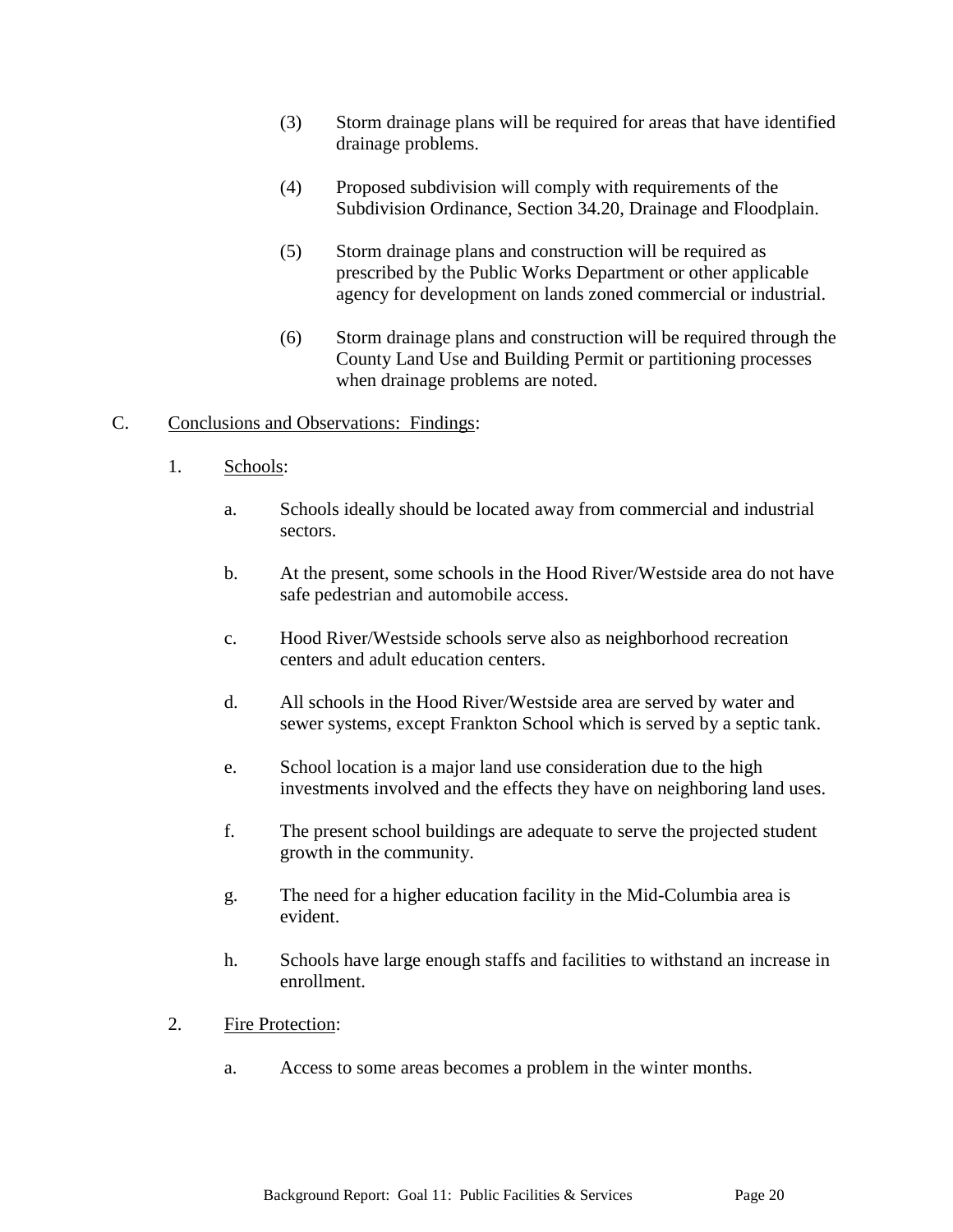- (3) Storm drainage plans will be required for areas that have identified drainage problems.
- (4) Proposed subdivision will comply with requirements of the Subdivision Ordinance, Section 34.20, Drainage and Floodplain.
- (5) Storm drainage plans and construction will be required as prescribed by the Public Works Department or other applicable agency for development on lands zoned commercial or industrial.
- (6) Storm drainage plans and construction will be required through the County Land Use and Building Permit or partitioning processes when drainage problems are noted.

# C. Conclusions and Observations: Findings:

- 1. Schools:
	- a. Schools ideally should be located away from commercial and industrial sectors.
	- b. At the present, some schools in the Hood River/Westside area do not have safe pedestrian and automobile access.
	- c. Hood River/Westside schools serve also as neighborhood recreation centers and adult education centers.
	- d. All schools in the Hood River/Westside area are served by water and sewer systems, except Frankton School which is served by a septic tank.
	- e. School location is a major land use consideration due to the high investments involved and the effects they have on neighboring land uses.
	- f. The present school buildings are adequate to serve the projected student growth in the community.
	- g. The need for a higher education facility in the Mid-Columbia area is evident.
	- h. Schools have large enough staffs and facilities to withstand an increase in enrollment.

## 2. Fire Protection:

a. Access to some areas becomes a problem in the winter months.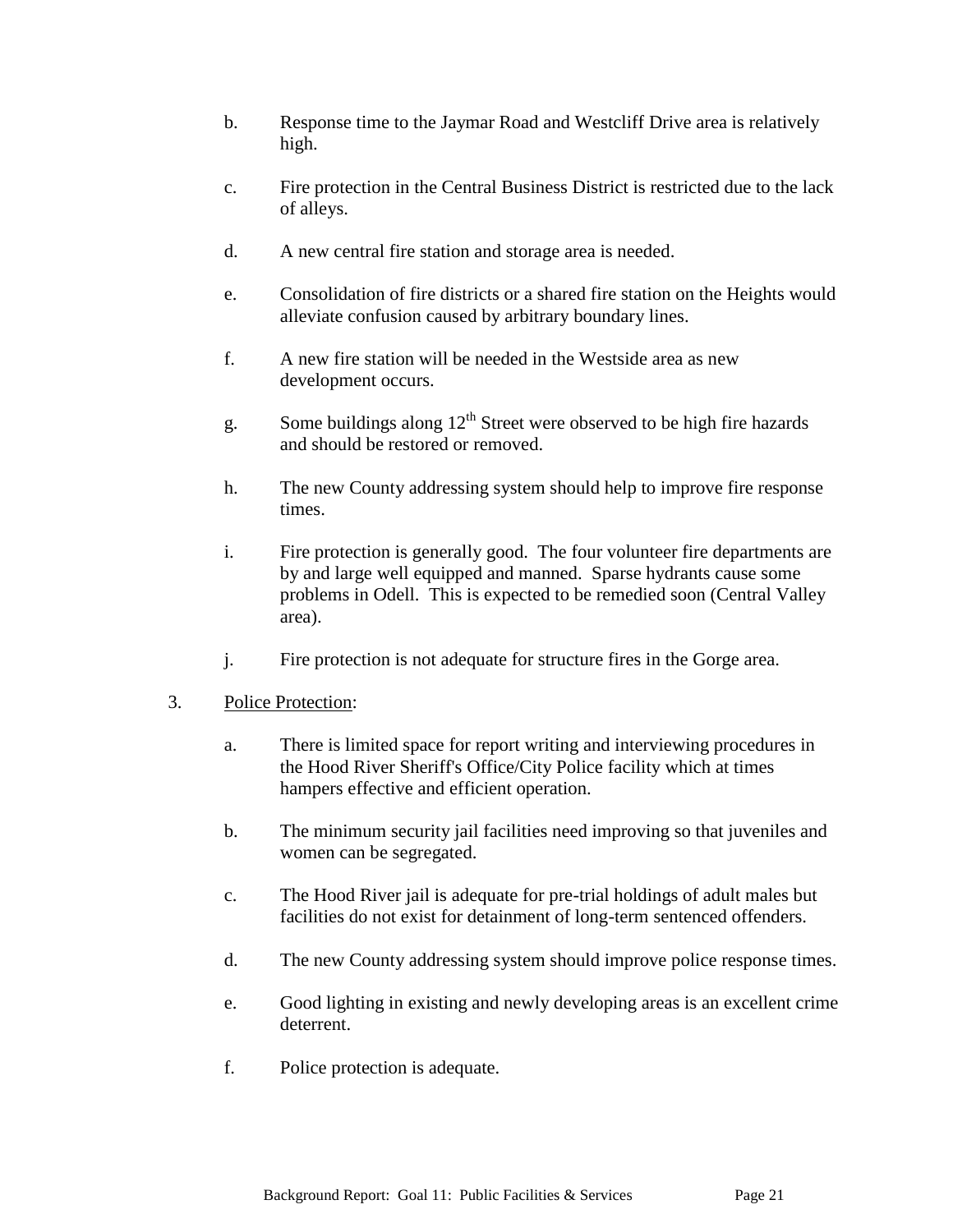- b. Response time to the Jaymar Road and Westcliff Drive area is relatively high.
- c. Fire protection in the Central Business District is restricted due to the lack of alleys.
- d. A new central fire station and storage area is needed.
- e. Consolidation of fire districts or a shared fire station on the Heights would alleviate confusion caused by arbitrary boundary lines.
- f. A new fire station will be needed in the Westside area as new development occurs.
- g. Some buildings along  $12<sup>th</sup>$  Street were observed to be high fire hazards and should be restored or removed.
- h. The new County addressing system should help to improve fire response times.
- i. Fire protection is generally good. The four volunteer fire departments are by and large well equipped and manned. Sparse hydrants cause some problems in Odell. This is expected to be remedied soon (Central Valley area).
- j. Fire protection is not adequate for structure fires in the Gorge area.

## 3. Police Protection:

- a. There is limited space for report writing and interviewing procedures in the Hood River Sheriff's Office/City Police facility which at times hampers effective and efficient operation.
- b. The minimum security jail facilities need improving so that juveniles and women can be segregated.
- c. The Hood River jail is adequate for pre-trial holdings of adult males but facilities do not exist for detainment of long-term sentenced offenders.
- d. The new County addressing system should improve police response times.
- e. Good lighting in existing and newly developing areas is an excellent crime deterrent.
- f. Police protection is adequate.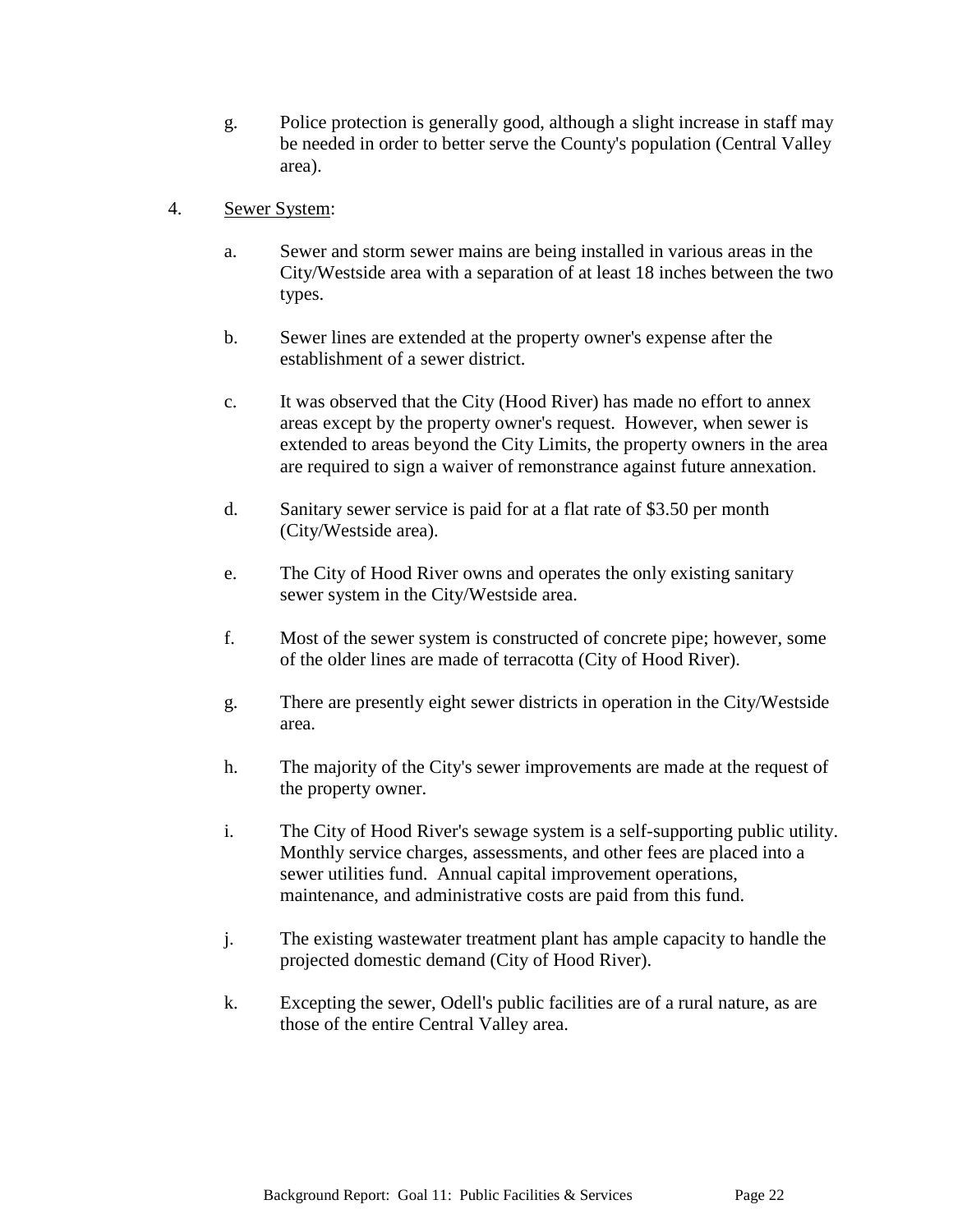- g. Police protection is generally good, although a slight increase in staff may be needed in order to better serve the County's population (Central Valley area).
- 4. Sewer System:
	- a. Sewer and storm sewer mains are being installed in various areas in the City/Westside area with a separation of at least 18 inches between the two types.
	- b. Sewer lines are extended at the property owner's expense after the establishment of a sewer district.
	- c. It was observed that the City (Hood River) has made no effort to annex areas except by the property owner's request. However, when sewer is extended to areas beyond the City Limits, the property owners in the area are required to sign a waiver of remonstrance against future annexation.
	- d. Sanitary sewer service is paid for at a flat rate of \$3.50 per month (City/Westside area).
	- e. The City of Hood River owns and operates the only existing sanitary sewer system in the City/Westside area.
	- f. Most of the sewer system is constructed of concrete pipe; however, some of the older lines are made of terracotta (City of Hood River).
	- g. There are presently eight sewer districts in operation in the City/Westside area.
	- h. The majority of the City's sewer improvements are made at the request of the property owner.
	- i. The City of Hood River's sewage system is a self-supporting public utility. Monthly service charges, assessments, and other fees are placed into a sewer utilities fund. Annual capital improvement operations, maintenance, and administrative costs are paid from this fund.
	- j. The existing wastewater treatment plant has ample capacity to handle the projected domestic demand (City of Hood River).
	- k. Excepting the sewer, Odell's public facilities are of a rural nature, as are those of the entire Central Valley area.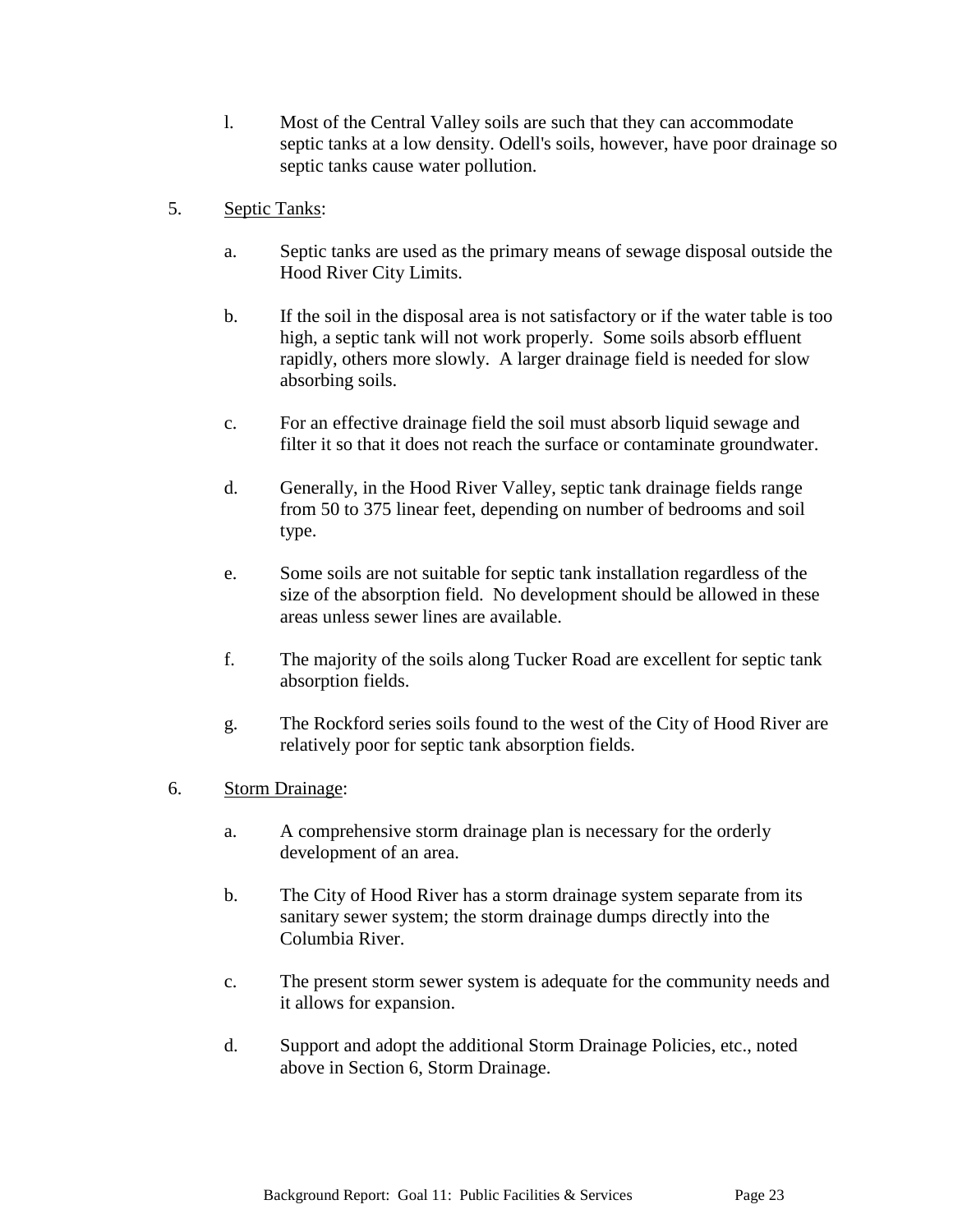- l. Most of the Central Valley soils are such that they can accommodate septic tanks at a low density. Odell's soils, however, have poor drainage so septic tanks cause water pollution.
- 5. Septic Tanks:
	- a. Septic tanks are used as the primary means of sewage disposal outside the Hood River City Limits.
	- b. If the soil in the disposal area is not satisfactory or if the water table is too high, a septic tank will not work properly. Some soils absorb effluent rapidly, others more slowly. A larger drainage field is needed for slow absorbing soils.
	- c. For an effective drainage field the soil must absorb liquid sewage and filter it so that it does not reach the surface or contaminate groundwater.
	- d. Generally, in the Hood River Valley, septic tank drainage fields range from 50 to 375 linear feet, depending on number of bedrooms and soil type.
	- e. Some soils are not suitable for septic tank installation regardless of the size of the absorption field. No development should be allowed in these areas unless sewer lines are available.
	- f. The majority of the soils along Tucker Road are excellent for septic tank absorption fields.
	- g. The Rockford series soils found to the west of the City of Hood River are relatively poor for septic tank absorption fields.
- 6. Storm Drainage:
	- a. A comprehensive storm drainage plan is necessary for the orderly development of an area.
	- b. The City of Hood River has a storm drainage system separate from its sanitary sewer system; the storm drainage dumps directly into the Columbia River.
	- c. The present storm sewer system is adequate for the community needs and it allows for expansion.
	- d. Support and adopt the additional Storm Drainage Policies, etc., noted above in Section 6, Storm Drainage.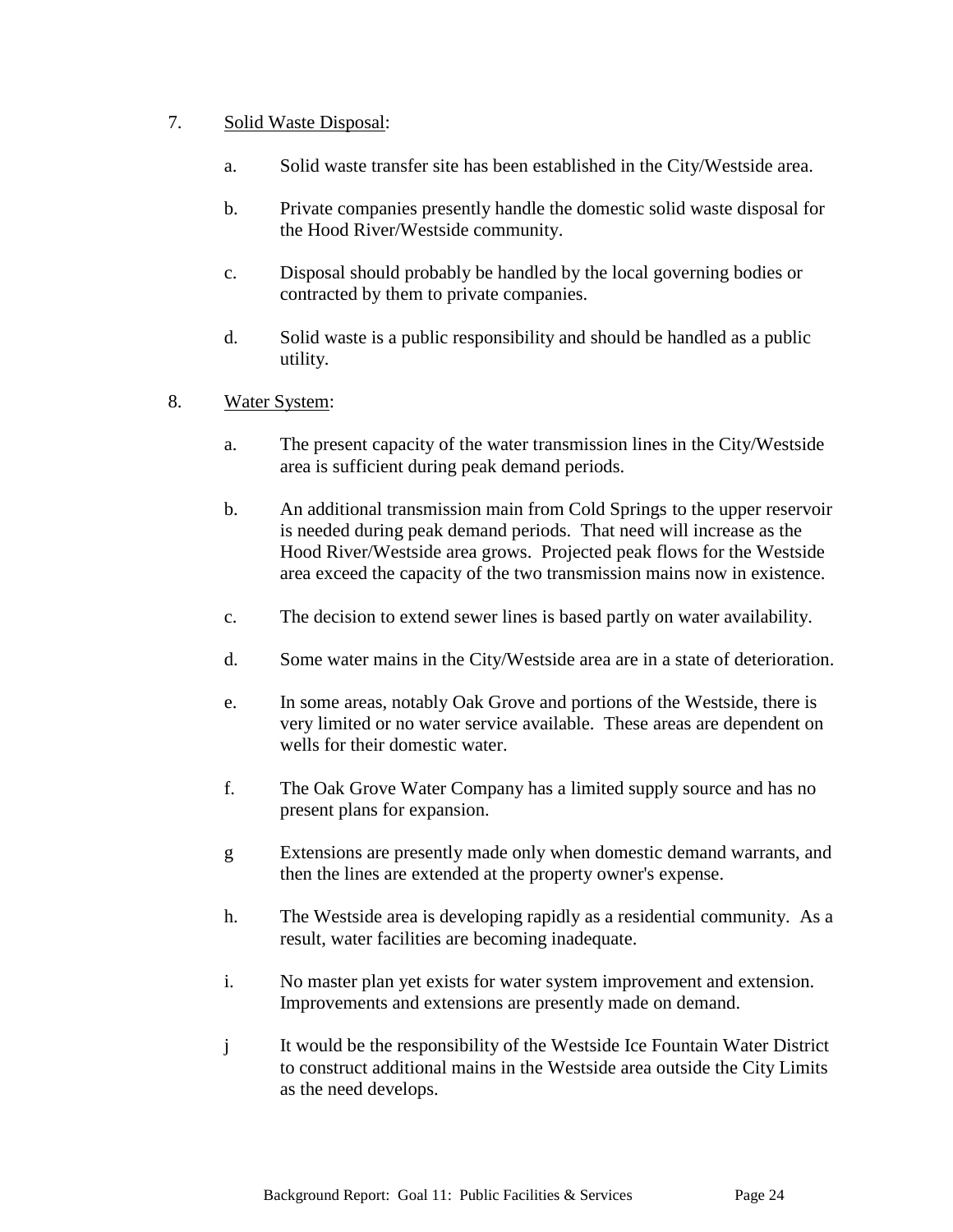# 7. Solid Waste Disposal:

- a. Solid waste transfer site has been established in the City/Westside area.
- b. Private companies presently handle the domestic solid waste disposal for the Hood River/Westside community.
- c. Disposal should probably be handled by the local governing bodies or contracted by them to private companies.
- d. Solid waste is a public responsibility and should be handled as a public utility.
- 8. Water System:
	- a. The present capacity of the water transmission lines in the City/Westside area is sufficient during peak demand periods.
	- b. An additional transmission main from Cold Springs to the upper reservoir is needed during peak demand periods. That need will increase as the Hood River/Westside area grows. Projected peak flows for the Westside area exceed the capacity of the two transmission mains now in existence.
	- c. The decision to extend sewer lines is based partly on water availability.
	- d. Some water mains in the City/Westside area are in a state of deterioration.
	- e. In some areas, notably Oak Grove and portions of the Westside, there is very limited or no water service available. These areas are dependent on wells for their domestic water.
	- f. The Oak Grove Water Company has a limited supply source and has no present plans for expansion.
	- g Extensions are presently made only when domestic demand warrants, and then the lines are extended at the property owner's expense.
	- h. The Westside area is developing rapidly as a residential community. As a result, water facilities are becoming inadequate.
	- i. No master plan yet exists for water system improvement and extension. Improvements and extensions are presently made on demand.
	- j It would be the responsibility of the Westside Ice Fountain Water District to construct additional mains in the Westside area outside the City Limits as the need develops.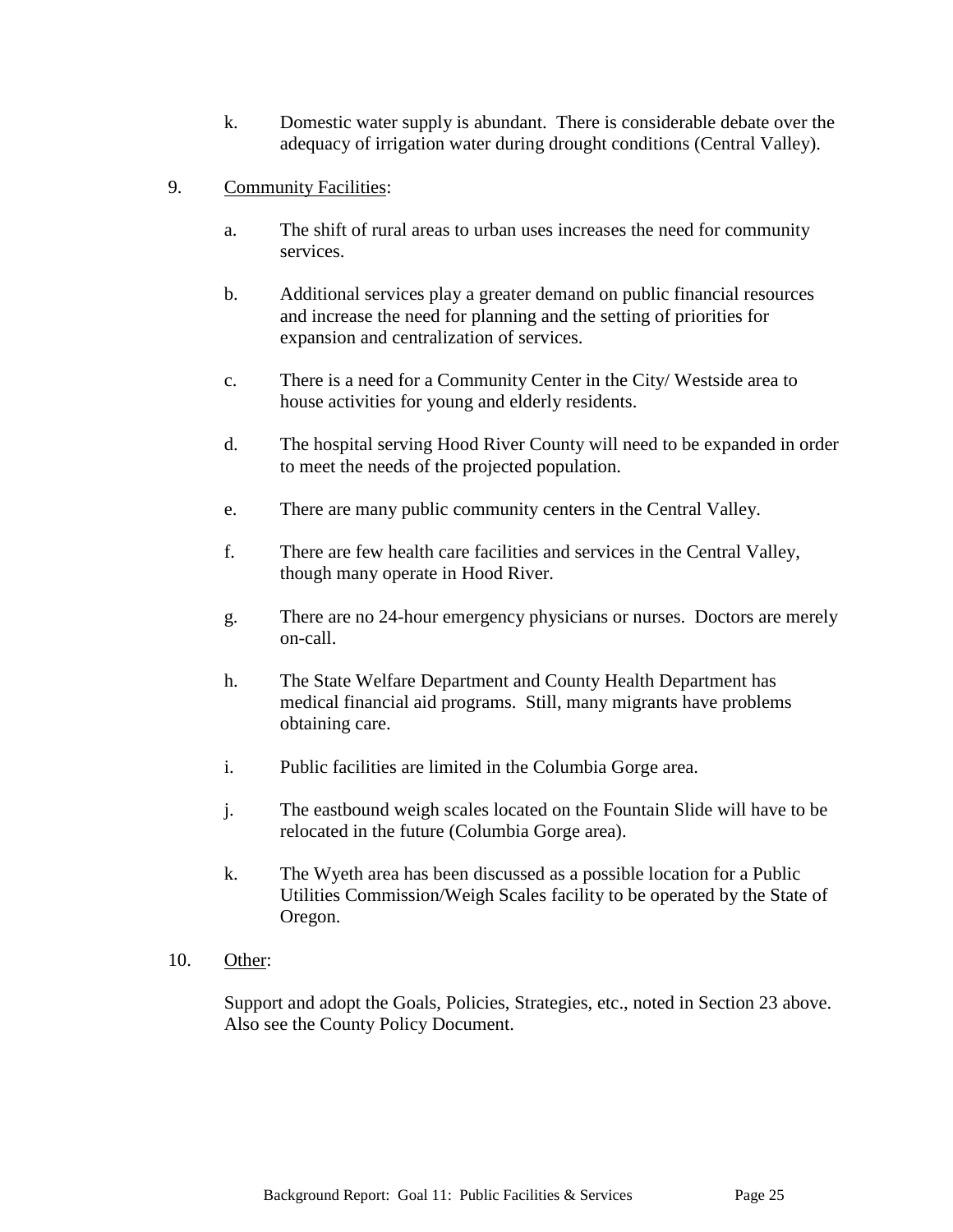- k. Domestic water supply is abundant. There is considerable debate over the adequacy of irrigation water during drought conditions (Central Valley).
- 9. Community Facilities:
	- a. The shift of rural areas to urban uses increases the need for community services.
	- b. Additional services play a greater demand on public financial resources and increase the need for planning and the setting of priorities for expansion and centralization of services.
	- c. There is a need for a Community Center in the City/ Westside area to house activities for young and elderly residents.
	- d. The hospital serving Hood River County will need to be expanded in order to meet the needs of the projected population.
	- e. There are many public community centers in the Central Valley.
	- f. There are few health care facilities and services in the Central Valley, though many operate in Hood River.
	- g. There are no 24-hour emergency physicians or nurses. Doctors are merely on-call.
	- h. The State Welfare Department and County Health Department has medical financial aid programs. Still, many migrants have problems obtaining care.
	- i. Public facilities are limited in the Columbia Gorge area.
	- j. The eastbound weigh scales located on the Fountain Slide will have to be relocated in the future (Columbia Gorge area).
	- k. The Wyeth area has been discussed as a possible location for a Public Utilities Commission/Weigh Scales facility to be operated by the State of Oregon.
- 10. Other:

Support and adopt the Goals, Policies, Strategies, etc., noted in Section 23 above. Also see the County Policy Document.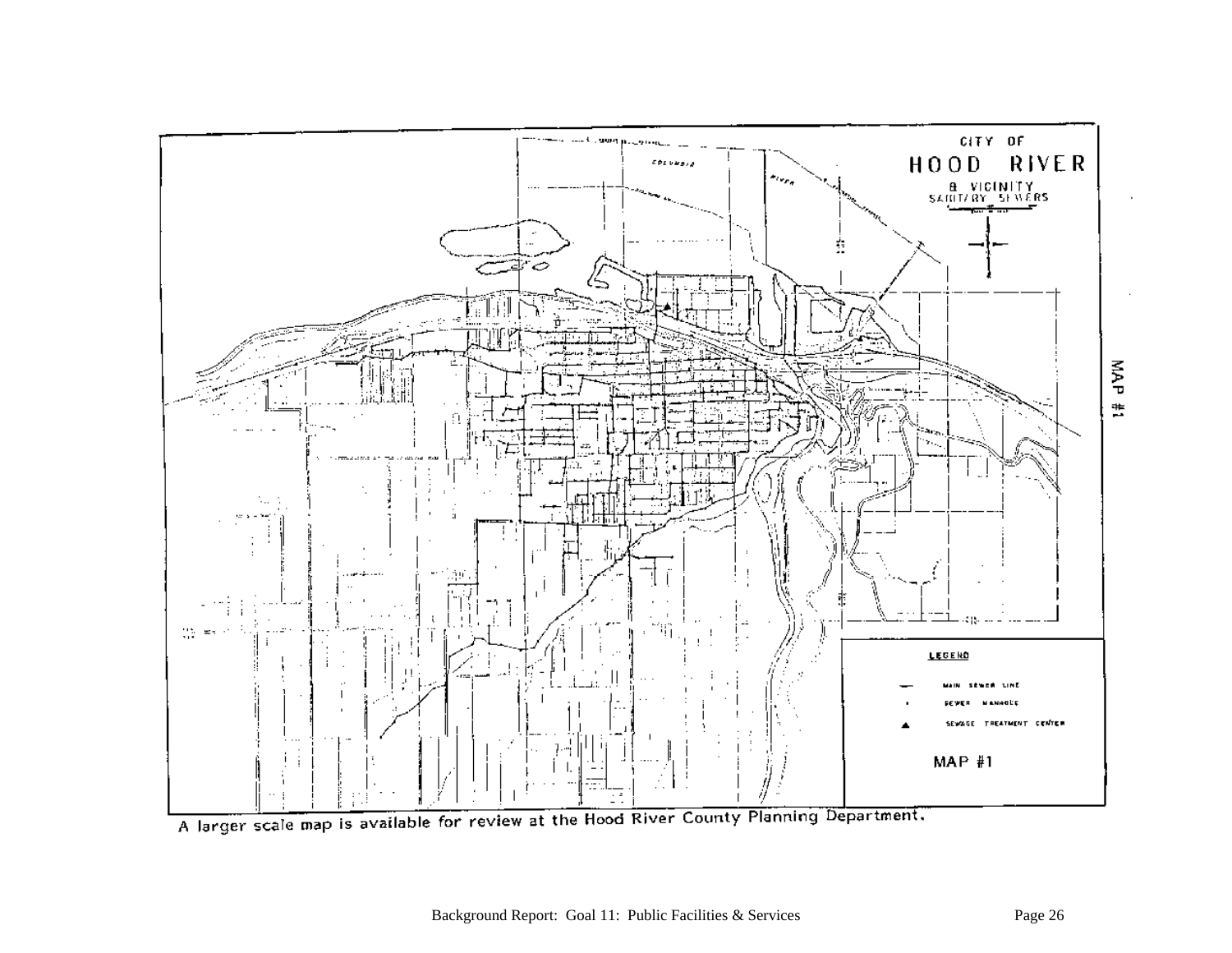

A larger scale map is available for review at the Hood River County Planning Department.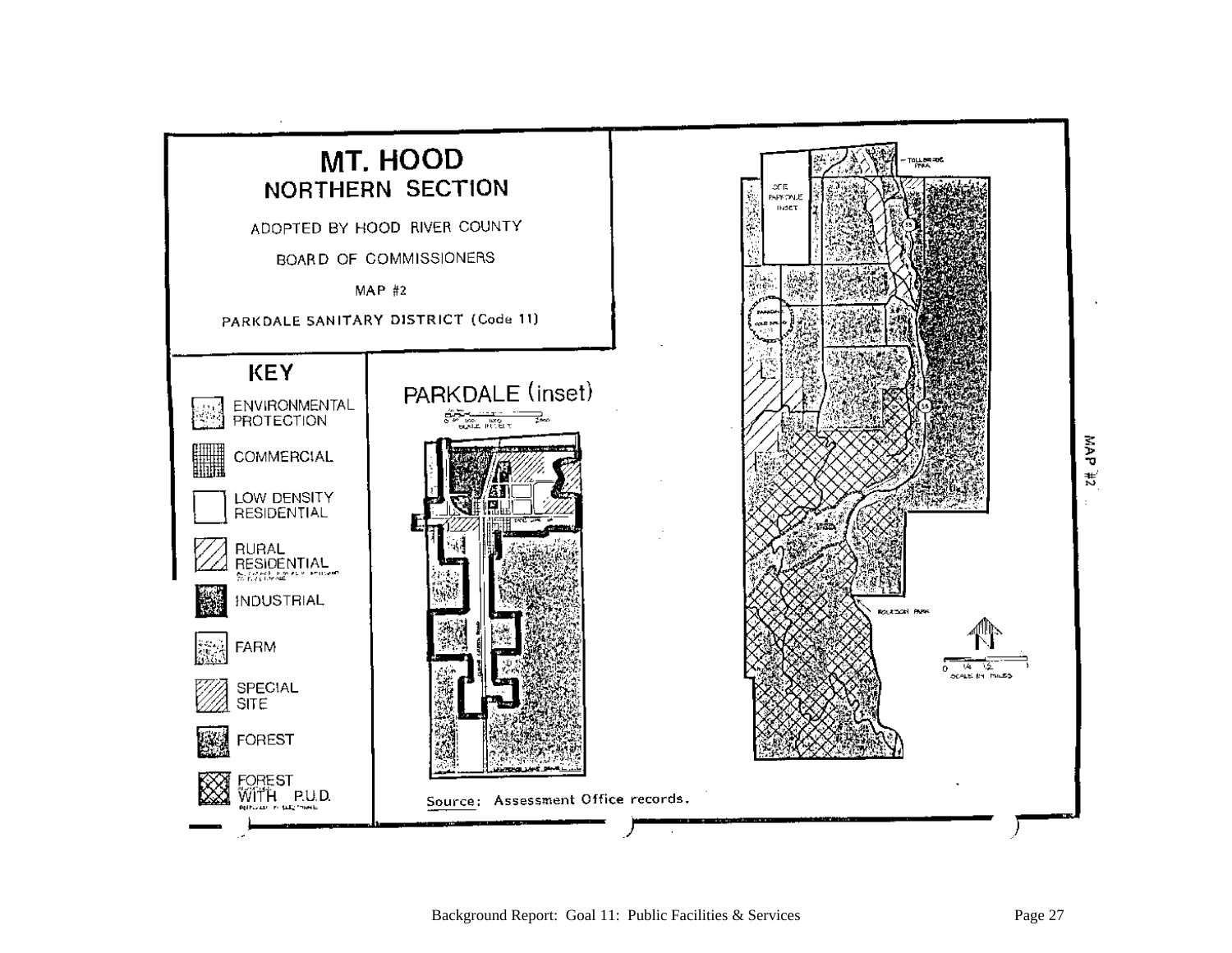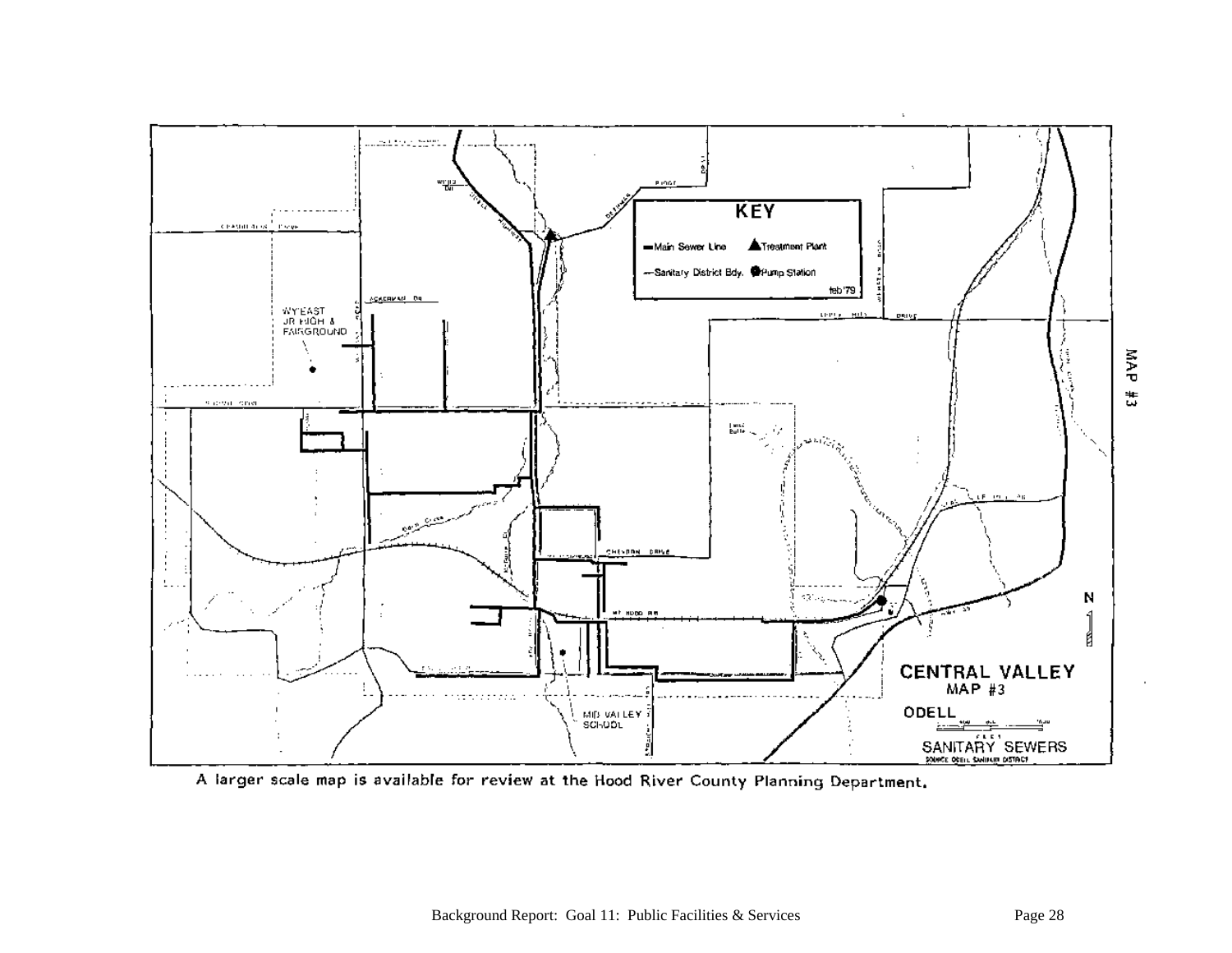

A larger scale map is available for review at the Hood River County Planning Department.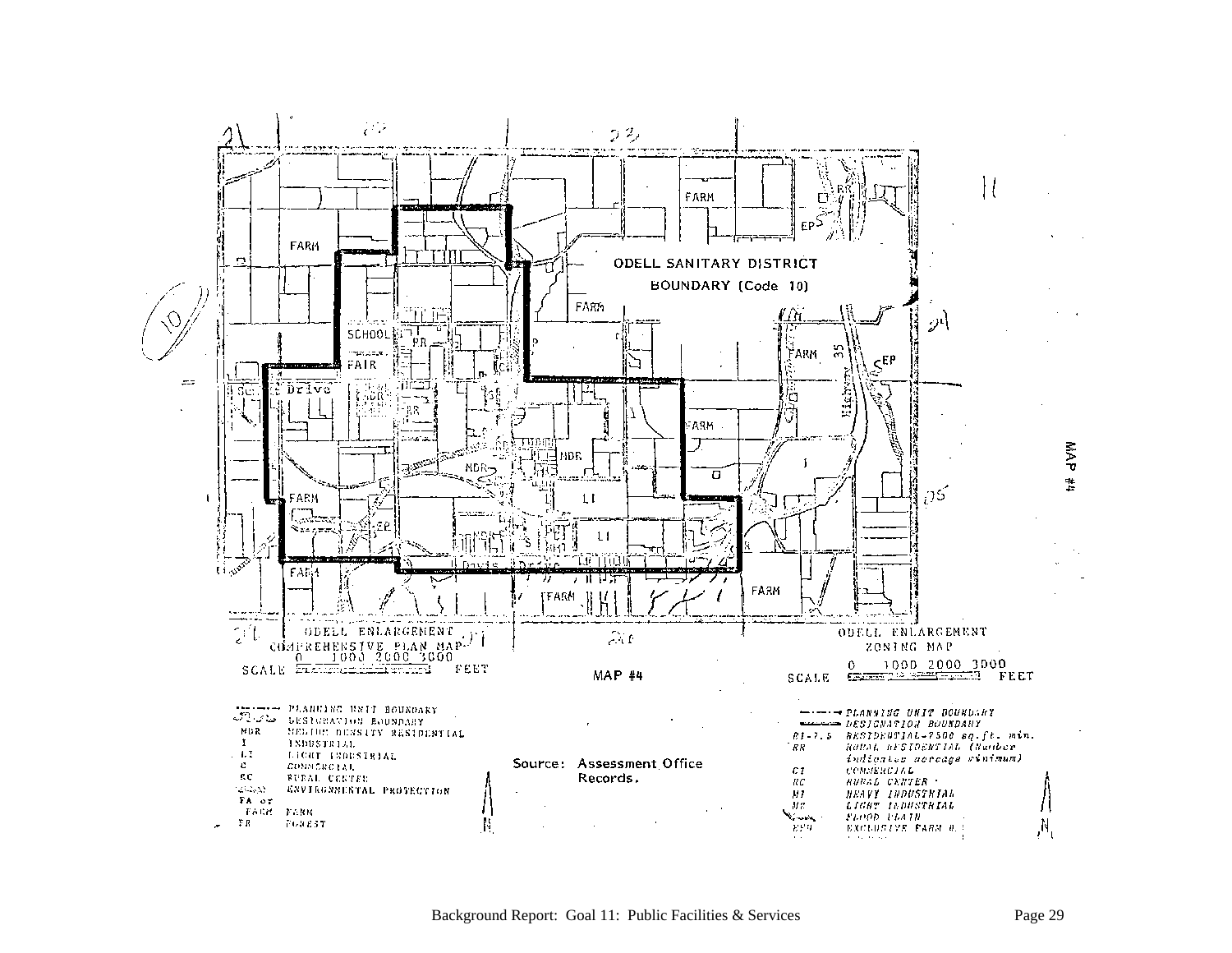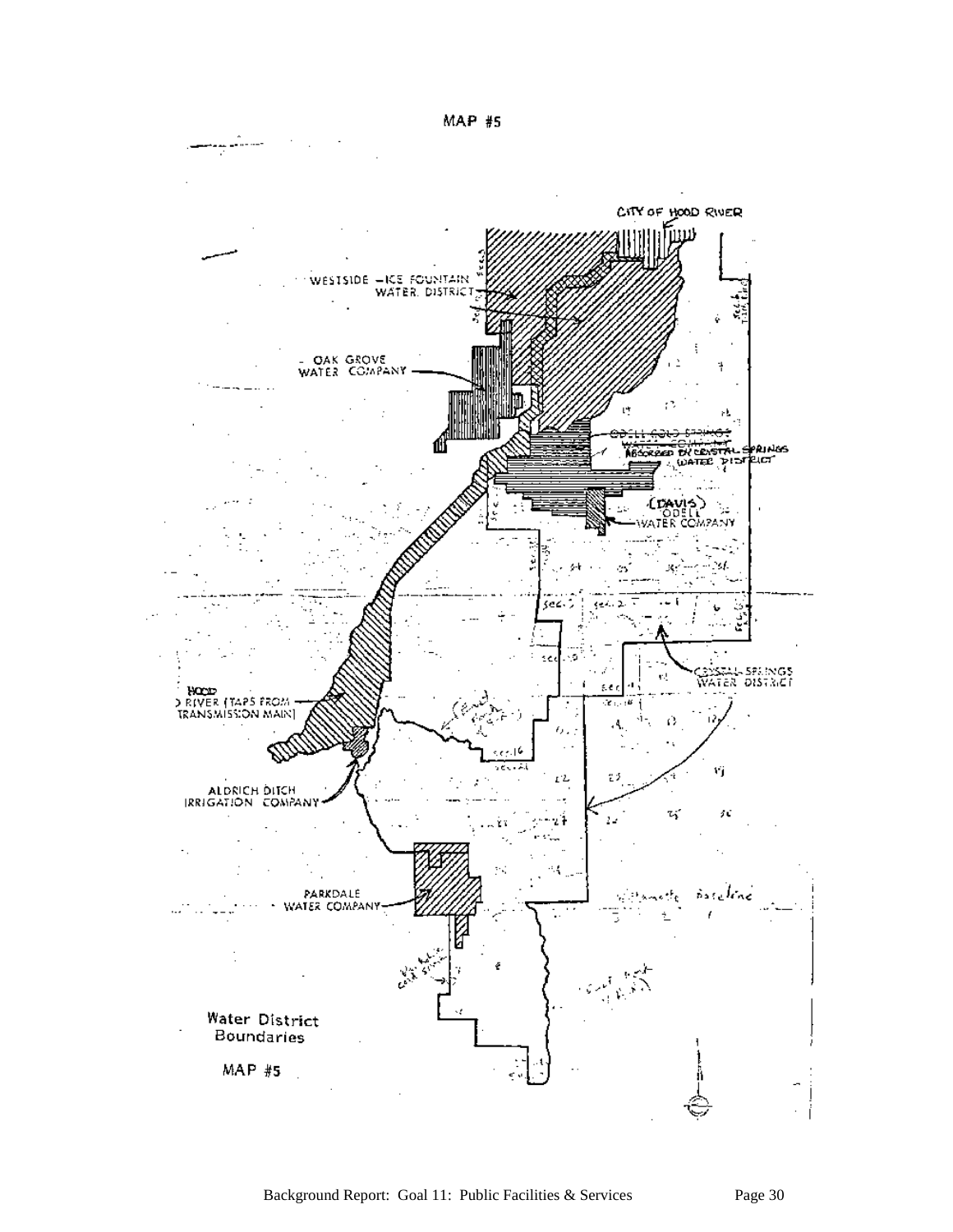